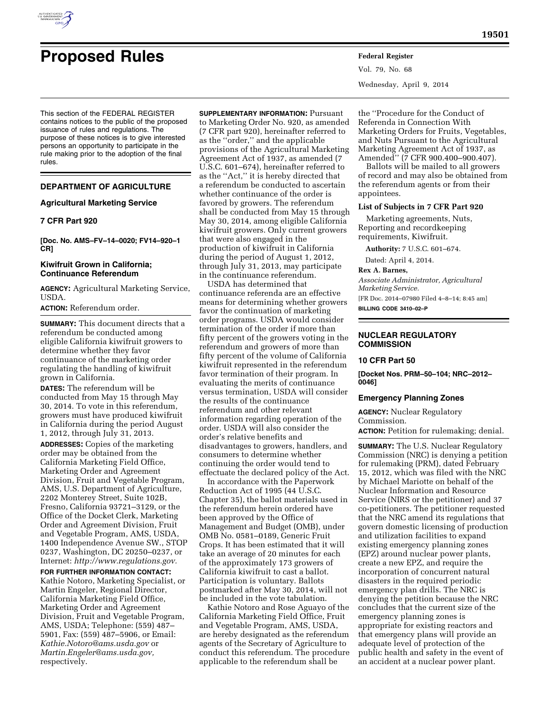

# **Proposed Rules Federal Register**

This section of the FEDERAL REGISTER contains notices to the public of the proposed issuance of rules and regulations. The purpose of these notices is to give interested persons an opportunity to participate in the rule making prior to the adoption of the final rules.

## **DEPARTMENT OF AGRICULTURE**

## **Agricultural Marketing Service**

# **7 CFR Part 920**

**[Doc. No. AMS–FV–14–0020; FV14–920–1 CR]** 

## **Kiwifruit Grown in California; Continuance Referendum**

**AGENCY:** Agricultural Marketing Service, USDA.

# **ACTION:** Referendum order.

**SUMMARY:** This document directs that a referendum be conducted among eligible California kiwifruit growers to determine whether they favor continuance of the marketing order regulating the handling of kiwifruit grown in California.

**DATES:** The referendum will be conducted from May 15 through May 30, 2014. To vote in this referendum, growers must have produced kiwifruit in California during the period August 1, 2012, through July 31, 2013.

**ADDRESSES:** Copies of the marketing order may be obtained from the California Marketing Field Office, Marketing Order and Agreement Division, Fruit and Vegetable Program, AMS, U.S. Department of Agriculture, 2202 Monterey Street, Suite 102B, Fresno, California 93721–3129, or the Office of the Docket Clerk, Marketing Order and Agreement Division, Fruit and Vegetable Program, AMS, USDA, 1400 Independence Avenue SW., STOP 0237, Washington, DC 20250–0237, or Internet: *[http://www.regulations.gov.](http://www.regulations.gov)* 

## **FOR FURTHER INFORMATION CONTACT:**

Kathie Notoro, Marketing Specialist, or Martin Engeler, Regional Director, California Marketing Field Office, Marketing Order and Agreement Division, Fruit and Vegetable Program, AMS, USDA; Telephone: (559) 487– 5901, Fax: (559) 487–5906, or Email: *[Kathie.Notoro@ams.usda.gov](mailto:Kathie.Notoro@ams.usda.gov)* or *[Martin.Engeler@ams.usda.gov,](mailto:Martin.Engeler@ams.usda.gov)*  respectively.

**SUPPLEMENTARY INFORMATION:** Pursuant to Marketing Order No. 920, as amended (7 CFR part 920), hereinafter referred to as the ''order,'' and the applicable provisions of the Agricultural Marketing Agreement Act of 1937, as amended (7 U.S.C. 601–674), hereinafter referred to as the ''Act,'' it is hereby directed that a referendum be conducted to ascertain whether continuance of the order is favored by growers. The referendum shall be conducted from May 15 through May 30, 2014, among eligible California kiwifruit growers. Only current growers that were also engaged in the production of kiwifruit in California during the period of August 1, 2012, through July 31, 2013, may participate in the continuance referendum.

USDA has determined that continuance referenda are an effective means for determining whether growers favor the continuation of marketing order programs. USDA would consider termination of the order if more than fifty percent of the growers voting in the referendum and growers of more than fifty percent of the volume of California kiwifruit represented in the referendum favor termination of their program. In evaluating the merits of continuance versus termination, USDA will consider the results of the continuance referendum and other relevant information regarding operation of the order. USDA will also consider the order's relative benefits and disadvantages to growers, handlers, and consumers to determine whether continuing the order would tend to effectuate the declared policy of the Act.

In accordance with the Paperwork Reduction Act of 1995 (44 U.S.C. Chapter 35), the ballot materials used in the referendum herein ordered have been approved by the Office of Management and Budget (OMB), under OMB No. 0581–0189, Generic Fruit Crops. It has been estimated that it will take an average of 20 minutes for each of the approximately 173 growers of California kiwifruit to cast a ballot. Participation is voluntary. Ballots postmarked after May 30, 2014, will not be included in the vote tabulation.

Kathie Notoro and Rose Aguayo of the California Marketing Field Office, Fruit and Vegetable Program, AMS, USDA, are hereby designated as the referendum agents of the Secretary of Agriculture to conduct this referendum. The procedure applicable to the referendum shall be

Vol. 79, No. 68 Wednesday, April 9, 2014

the ''Procedure for the Conduct of Referenda in Connection With Marketing Orders for Fruits, Vegetables, and Nuts Pursuant to the Agricultural Marketing Agreement Act of 1937, as Amended'' (7 CFR 900.400–900.407).

Ballots will be mailed to all growers of record and may also be obtained from the referendum agents or from their appointees.

# **List of Subjects in 7 CFR Part 920**

Marketing agreements, Nuts, Reporting and recordkeeping requirements, Kiwifruit.

**Authority:** 7 U.S.C. 601–674.

Dated: April 4, 2014.

## **Rex A. Barnes,**

*Associate Administrator, Agricultural Marketing Service.* 

[FR Doc. 2014–07980 Filed 4–8–14; 8:45 am] **BILLING CODE 3410–02–P** 

## **NUCLEAR REGULATORY COMMISSION**

## **10 CFR Part 50**

**[Docket Nos. PRM–50–104; NRC–2012– 0046]** 

#### **Emergency Planning Zones**

**AGENCY:** Nuclear Regulatory Commission. **ACTION:** Petition for rulemaking; denial.

**SUMMARY:** The U.S. Nuclear Regulatory Commission (NRC) is denying a petition for rulemaking (PRM), dated February 15, 2012, which was filed with the NRC by Michael Mariotte on behalf of the Nuclear Information and Resource Service (NIRS or the petitioner) and 37 co-petitioners. The petitioner requested that the NRC amend its regulations that govern domestic licensing of production and utilization facilities to expand existing emergency planning zones (EPZ) around nuclear power plants, create a new EPZ, and require the incorporation of concurrent natural disasters in the required periodic emergency plan drills. The NRC is denying the petition because the NRC concludes that the current size of the emergency planning zones is appropriate for existing reactors and that emergency plans will provide an adequate level of protection of the public health and safety in the event of an accident at a nuclear power plant.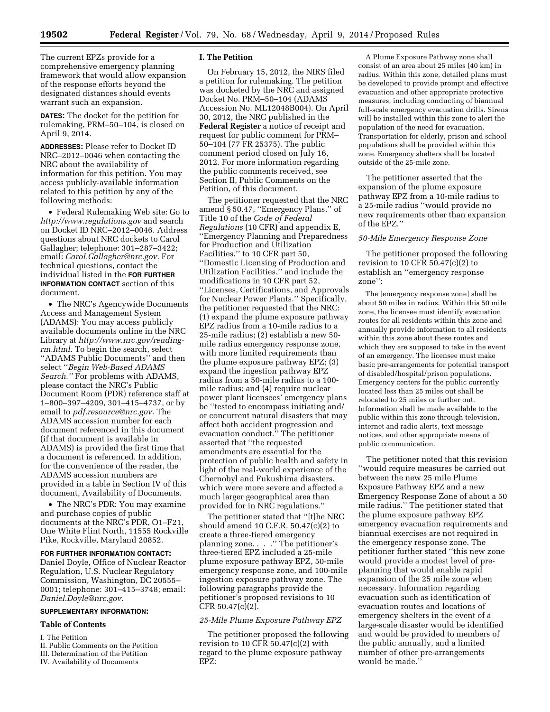The current EPZs provide for a comprehensive emergency planning framework that would allow expansion of the response efforts beyond the designated distances should events warrant such an expansion.

**DATES:** The docket for the petition for rulemaking, PRM–50–104, is closed on April 9, 2014.

**ADDRESSES:** Please refer to Docket ID NRC–2012–0046 when contacting the NRC about the availability of information for this petition. You may access publicly-available information related to this petition by any of the following methods:

• Federal Rulemaking Web site: Go to *<http://www.regulations.gov>* and search on Docket ID NRC–2012–0046. Address questions about NRC dockets to Carol Gallagher; telephone: 301–287–3422; email: *[Carol.Gallagher@nrc.gov.](mailto:Carol.Gallagher@nrc.gov)* For technical questions, contact the individual listed in the **FOR FURTHER INFORMATION CONTACT** section of this document.

• The NRC's Agencywide Documents Access and Management System (ADAMS): You may access publicly available documents online in the NRC Library at *[http://www.nrc.gov/reading](http://www.nrc.gov/reading-rm.html)[rm.html.](http://www.nrc.gov/reading-rm.html)* To begin the search, select ''ADAMS Public Documents'' and then select ''*Begin Web-Based ADAMS Search.''* For problems with ADAMS, please contact the NRC's Public Document Room (PDR) reference staff at 1–800–397–4209, 301–415–4737, or by email to *[pdf.resource@nrc.gov.](mailto:pdf.resource@nrc.gov)* The ADAMS accession number for each document referenced in this document (if that document is available in ADAMS) is provided the first time that a document is referenced. In addition, for the convenience of the reader, the ADAMS accession numbers are provided in a table in Section IV of this document, Availability of Documents.

• The NRC's PDR: You may examine and purchase copies of public documents at the NRC's PDR, O1–F21, One White Flint North, 11555 Rockville Pike, Rockville, Maryland 20852.

# **FOR FURTHER INFORMATION CONTACT:**

Daniel Doyle, Office of Nuclear Reactor Regulation, U.S. Nuclear Regulatory Commission, Washington, DC 20555– 0001; telephone: 301–415–3748; email: *[Daniel.Doyle@nrc.gov](mailto:Daniel.Doyle@nrc.gov)*.

# **SUPPLEMENTARY INFORMATION:**

## **Table of Contents**

- I. The Petition
- II. Public Comments on the Petition
- III. Determination of the Petition
- IV. Availability of Documents

## **I. The Petition**

On February 15, 2012, the NIRS filed a petition for rulemaking. The petition was docketed by the NRC and assigned Docket No. PRM–50–104 (ADAMS Accession No. ML12048B004). On April 30, 2012, the NRC published in the **Federal Register** a notice of receipt and request for public comment for PRM– 50–104 (77 FR 25375). The public comment period closed on July 16, 2012. For more information regarding the public comments received, see Section II, Public Comments on the Petition, of this document.

The petitioner requested that the NRC amend § 50.47, ''Emergency Plans,'' of Title 10 of the *Code of Federal Regulations* (10 CFR) and appendix E, ''Emergency Planning and Preparedness for Production and Utilization Facilities,'' to 10 CFR part 50, ''Domestic Licensing of Production and Utilization Facilities,'' and include the modifications in 10 CFR part 52, ''Licenses, Certifications, and Approvals for Nuclear Power Plants.'' Specifically, the petitioner requested that the NRC: (1) expand the plume exposure pathway EPZ radius from a 10-mile radius to a 25-mile radius; (2) establish a new 50 mile radius emergency response zone, with more limited requirements than the plume exposure pathway EPZ; (3) expand the ingestion pathway EPZ radius from a 50-mile radius to a 100 mile radius; and (4) require nuclear power plant licensees' emergency plans be ''tested to encompass initiating and/ or concurrent natural disasters that may affect both accident progression and evacuation conduct.'' The petitioner asserted that ''the requested amendments are essential for the protection of public health and safety in light of the real-world experience of the Chernobyl and Fukushima disasters, which were more severe and affected a much larger geographical area than provided for in NRC regulations.''

The petitioner stated that ''[t]he NRC should amend 10 C.F.R. 50.47(c)(2) to create a three-tiered emergency planning zone. . . .'' The petitioner's three-tiered EPZ included a 25-mile plume exposure pathway EPZ, 50-mile emergency response zone, and 100-mile ingestion exposure pathway zone. The following paragraphs provide the petitioner's proposed revisions to 10 CFR 50.47(c)(2).

## *25-Mile Plume Exposure Pathway EPZ*

The petitioner proposed the following revision to 10 CFR  $50.47(c)(2)$  with regard to the plume exposure pathway EPZ:

A Plume Exposure Pathway zone shall consist of an area about 25 miles (40 km) in radius. Within this zone, detailed plans must be developed to provide prompt and effective evacuation and other appropriate protective measures, including conducting of biannual full-scale emergency evacuation drills. Sirens will be installed within this zone to alert the population of the need for evacuation. Transportation for elderly, prison and school populations shall be provided within this zone. Emergency shelters shall be located outside of the 25-mile zone.

The petitioner asserted that the expansion of the plume exposure pathway EPZ from a 10-mile radius to a 25-mile radius ''would provide no new requirements other than expansion of the EPZ.''

## *50-Mile Emergency Response Zone*

The petitioner proposed the following revision to 10 CFR 50.47 $(c)(2)$  to establish an ''emergency response zone'':

The [emergency response zone] shall be about 50 miles in radius. Within this 50 mile zone, the licensee must identify evacuation routes for all residents within this zone and annually provide information to all residents within this zone about these routes and which they are supposed to take in the event of an emergency. The licensee must make basic pre-arrangements for potential transport of disabled/hospital/prison populations. Emergency centers for the public currently located less than 25 miles out shall be relocated to 25 miles or further out. Information shall be made available to the public within this zone through television, internet and radio alerts, text message notices, and other appropriate means of public communication.

The petitioner noted that this revision ''would require measures be carried out between the new 25 mile Plume Exposure Pathway EPZ and a new Emergency Response Zone of about a 50 mile radius.'' The petitioner stated that the plume exposure pathway EPZ emergency evacuation requirements and biannual exercises are not required in the emergency response zone. The petitioner further stated ''this new zone would provide a modest level of preplanning that would enable rapid expansion of the 25 mile zone when necessary. Information regarding evacuation such as identification of evacuation routes and locations of emergency shelters in the event of a large-scale disaster would be identified and would be provided to members of the public annually, and a limited number of other pre-arrangements would be made.''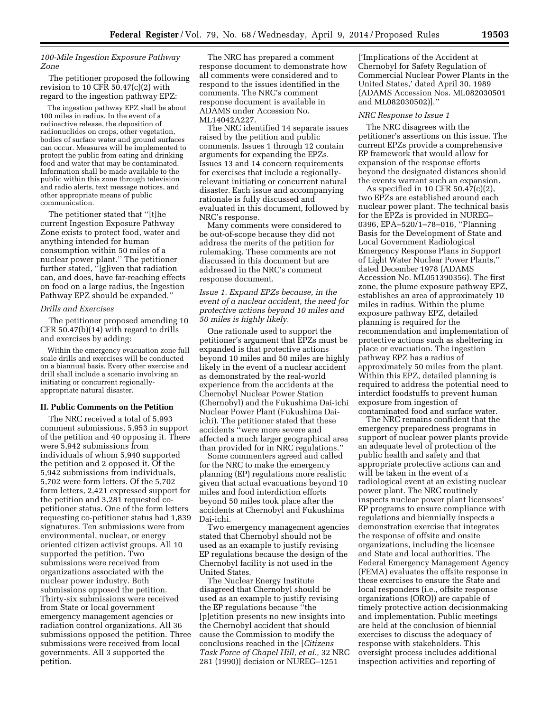## *100-Mile Ingestion Exposure Pathway Zone*

The petitioner proposed the following revision to 10 CFR  $50.47(c)(2)$  with regard to the ingestion pathway EPZ:

The ingestion pathway EPZ shall be about 100 miles in radius. In the event of a radioactive release, the deposition of radionuclides on crops, other vegetation, bodies of surface water and ground surfaces can occur. Measures will be implemented to protect the public from eating and drinking food and water that may be contaminated. Information shall be made available to the public within this zone through television and radio alerts, text message notices, and other appropriate means of public communication.

The petitioner stated that ''[t]he current Ingestion Exposure Pathway Zone exists to protect food, water and anything intended for human consumption within 50 miles of a nuclear power plant.'' The petitioner further stated, ''[g]iven that radiation can, and does, have far-reaching effects on food on a large radius, the Ingestion Pathway EPZ should be expanded.''

## *Drills and Exercises*

The petitioner proposed amending 10 CFR 50.47(b)(14) with regard to drills and exercises by adding:

Within the emergency evacuation zone full scale drills and exercises will be conducted on a biannual basis. Every other exercise and drill shall include a scenario involving an initiating or concurrent regionallyappropriate natural disaster.

#### **II. Public Comments on the Petition**

The NRC received a total of 5,993 comment submissions, 5,953 in support of the petition and 40 opposing it. There were 5,942 submissions from individuals of whom 5,940 supported the petition and 2 opposed it. Of the 5,942 submissions from individuals, 5,702 were form letters. Of the 5,702 form letters, 2,421 expressed support for the petition and 3,281 requested copetitioner status. One of the form letters requesting co-petitioner status had 1,839 signatures. Ten submissions were from environmental, nuclear, or energy oriented citizen activist groups. All 10 supported the petition. Two submissions were received from organizations associated with the nuclear power industry. Both submissions opposed the petition. Thirty-six submissions were received from State or local government emergency management agencies or radiation control organizations. All 36 submissions opposed the petition. Three submissions were received from local governments. All 3 supported the petition.

The NRC has prepared a comment response document to demonstrate how all comments were considered and to respond to the issues identified in the comments. The NRC's comment response document is available in ADAMS under Accession No. ML14042A227.

The NRC identified 14 separate issues raised by the petition and public comments. Issues 1 through 12 contain arguments for expanding the EPZs. Issues 13 and 14 concern requirements for exercises that include a regionallyrelevant initiating or concurrent natural disaster. Each issue and accompanying rationale is fully discussed and evaluated in this document, followed by NRC's response.

Many comments were considered to be out-of-scope because they did not address the merits of the petition for rulemaking. These comments are not discussed in this document but are addressed in the NRC's comment response document.

*Issue 1. Expand EPZs because, in the event of a nuclear accident, the need for protective actions beyond 10 miles and 50 miles is highly likely.* 

One rationale used to support the petitioner's argument that EPZs must be expanded is that protective actions beyond 10 miles and 50 miles are highly likely in the event of a nuclear accident as demonstrated by the real-world experience from the accidents at the Chernobyl Nuclear Power Station (Chernobyl) and the Fukushima Dai-ichi Nuclear Power Plant (Fukushima Daiichi). The petitioner stated that these accidents ''were more severe and affected a much larger geographical area than provided for in NRC regulations.''

Some commenters agreed and called for the NRC to make the emergency planning (EP) regulations more realistic given that actual evacuations beyond 10 miles and food interdiction efforts beyond 50 miles took place after the accidents at Chernobyl and Fukushima Dai-ichi.

Two emergency management agencies stated that Chernobyl should not be used as an example to justify revising EP regulations because the design of the Chernobyl facility is not used in the United States.

The Nuclear Energy Institute disagreed that Chernobyl should be used as an example to justify revising the EP regulations because ''the [p]etition presents no new insights into the Chernobyl accident that should cause the Commission to modify the conclusions reached in the [*Citizens Task Force of Chapel Hill, et al.,* 32 NRC 281 (1990)] decision or NUREG–1251

['Implications of the Accident at Chernobyl for Safety Regulation of Commercial Nuclear Power Plants in the United States,' dated April 30, 1989 (ADAMS Accession Nos. ML082030501 and ML082030502)].''

#### *NRC Response to Issue 1*

The NRC disagrees with the petitioner's assertions on this issue. The current EPZs provide a comprehensive EP framework that would allow for expansion of the response efforts beyond the designated distances should the events warrant such an expansion.

As specified in 10 CFR 50.47(c)(2), two EPZs are established around each nuclear power plant. The technical basis for the EPZs is provided in NUREG– 0396, EPA–520/1–78–016, ''Planning Basis for the Development of State and Local Government Radiological Emergency Response Plans in Support of Light Water Nuclear Power Plants,'' dated December 1978 (ADAMS Accession No. ML051390356). The first zone, the plume exposure pathway EPZ, establishes an area of approximately 10 miles in radius. Within the plume exposure pathway EPZ, detailed planning is required for the recommendation and implementation of protective actions such as sheltering in place or evacuation. The ingestion pathway EPZ has a radius of approximately 50 miles from the plant. Within this EPZ, detailed planning is required to address the potential need to interdict foodstuffs to prevent human exposure from ingestion of contaminated food and surface water.

The NRC remains confident that the emergency preparedness programs in support of nuclear power plants provide an adequate level of protection of the public health and safety and that appropriate protective actions can and will be taken in the event of a radiological event at an existing nuclear power plant. The NRC routinely inspects nuclear power plant licensees' EP programs to ensure compliance with regulations and biennially inspects a demonstration exercise that integrates the response of offsite and onsite organizations, including the licensee and State and local authorities. The Federal Emergency Management Agency (FEMA) evaluates the offsite response in these exercises to ensure the State and local responders (i.e., offsite response organizations (ORO)) are capable of timely protective action decisionmaking and implementation. Public meetings are held at the conclusion of biennial exercises to discuss the adequacy of response with stakeholders. This oversight process includes additional inspection activities and reporting of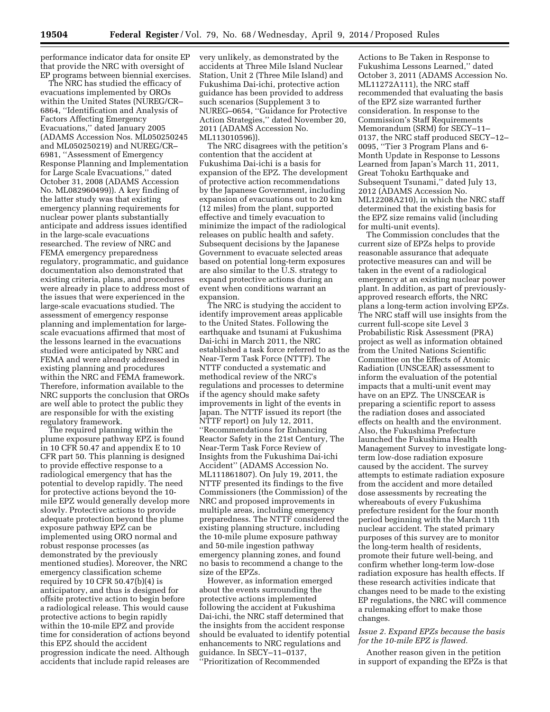performance indicator data for onsite EP that provide the NRC with oversight of EP programs between biennial exercises.

The NRC has studied the efficacy of evacuations implemented by OROs within the United States (NUREG/CR– 6864, ''Identification and Analysis of Factors Affecting Emergency Evacuations,'' dated January 2005 (ADAMS Accession Nos. ML050250245 and ML050250219) and NUREG/CR– 6981, ''Assessment of Emergency Response Planning and Implementation for Large Scale Evacuations,'' dated October 31, 2008 (ADAMS Accession No. ML082960499)). A key finding of the latter study was that existing emergency planning requirements for nuclear power plants substantially anticipate and address issues identified in the large-scale evacuations researched. The review of NRC and FEMA emergency preparedness regulatory, programmatic, and guidance documentation also demonstrated that existing criteria, plans, and procedures were already in place to address most of the issues that were experienced in the large-scale evacuations studied. The assessment of emergency response planning and implementation for largescale evacuations affirmed that most of the lessons learned in the evacuations studied were anticipated by NRC and FEMA and were already addressed in existing planning and procedures within the NRC and FEMA framework. Therefore, information available to the NRC supports the conclusion that OROs are well able to protect the public they are responsible for with the existing regulatory framework.

The required planning within the plume exposure pathway EPZ is found in 10 CFR 50.47 and appendix E to 10 CFR part 50. This planning is designed to provide effective response to a radiological emergency that has the potential to develop rapidly. The need for protective actions beyond the 10 mile EPZ would generally develop more slowly. Protective actions to provide adequate protection beyond the plume exposure pathway EPZ can be implemented using ORO normal and robust response processes (as demonstrated by the previously mentioned studies). Moreover, the NRC emergency classification scheme required by 10 CFR 50.47(b)(4) is anticipatory, and thus is designed for offsite protective action to begin before a radiological release. This would cause protective actions to begin rapidly within the 10-mile EPZ and provide time for consideration of actions beyond this EPZ should the accident progression indicate the need. Although accidents that include rapid releases are

very unlikely, as demonstrated by the accidents at Three Mile Island Nuclear Station, Unit 2 (Three Mile Island) and Fukushima Dai-ichi, protective action guidance has been provided to address such scenarios (Supplement 3 to NUREG–0654, ''Guidance for Protective Action Strategies,'' dated November 20, 2011 (ADAMS Accession No. ML113010596)).

The NRC disagrees with the petition's contention that the accident at Fukushima Dai-ichi is a basis for expansion of the EPZ. The development of protective action recommendations by the Japanese Government, including expansion of evacuations out to 20 km (12 miles) from the plant, supported effective and timely evacuation to minimize the impact of the radiological releases on public health and safety. Subsequent decisions by the Japanese Government to evacuate selected areas based on potential long-term exposures are also similar to the U.S. strategy to expand protective actions during an event when conditions warrant an expansion.

The NRC is studying the accident to identify improvement areas applicable to the United States. Following the earthquake and tsunami at Fukushima Dai-ichi in March 2011, the NRC established a task force referred to as the Near-Term Task Force (NTTF). The NTTF conducted a systematic and methodical review of the NRC's regulations and processes to determine if the agency should make safety improvements in light of the events in Japan. The NTTF issued its report (the NTTF report) on July 12, 2011, ''Recommendations for Enhancing Reactor Safety in the 21st Century, The Near-Term Task Force Review of Insights from the Fukushima Dai-ichi Accident'' (ADAMS Accession No. ML111861807). On July 19, 2011, the NTTF presented its findings to the five Commissioners (the Commission) of the NRC and proposed improvements in multiple areas, including emergency preparedness. The NTTF considered the existing planning structure, including the 10-mile plume exposure pathway and 50-mile ingestion pathway emergency planning zones, and found no basis to recommend a change to the size of the EPZs.

However, as information emerged about the events surrounding the protective actions implemented following the accident at Fukushima Dai-ichi, the NRC staff determined that the insights from the accident response should be evaluated to identify potential enhancements to NRC regulations and guidance. In SECY–11–0137, ''Prioritization of Recommended

Actions to Be Taken in Response to Fukushima Lessons Learned,'' dated October 3, 2011 (ADAMS Accession No. ML11272A111), the NRC staff recommended that evaluating the basis of the EPZ size warranted further consideration. In response to the Commission's Staff Requirements Memorandum (SRM) for SECY–11– 0137, the NRC staff produced SECY–12– 0095, ''Tier 3 Program Plans and 6- Month Update in Response to Lessons Learned from Japan's March 11, 2011, Great Tohoku Earthquake and Subsequent Tsunami,'' dated July 13, 2012 (ADAMS Accession No. ML12208A210), in which the NRC staff determined that the existing basis for the EPZ size remains valid (including for multi-unit events).

The Commission concludes that the current size of EPZs helps to provide reasonable assurance that adequate protective measures can and will be taken in the event of a radiological emergency at an existing nuclear power plant. In addition, as part of previouslyapproved research efforts, the NRC plans a long-term action involving EPZs. The NRC staff will use insights from the current full-scope site Level 3 Probabilistic Risk Assessment (PRA) project as well as information obtained from the United Nations Scientific Committee on the Effects of Atomic Radiation (UNSCEAR) assessment to inform the evaluation of the potential impacts that a multi-unit event may have on an EPZ. The UNSCEAR is preparing a scientific report to assess the radiation doses and associated effects on health and the environment. Also, the Fukushima Prefecture launched the Fukushima Health Management Survey to investigate longterm low-dose radiation exposure caused by the accident. The survey attempts to estimate radiation exposure from the accident and more detailed dose assessments by recreating the whereabouts of every Fukushima prefecture resident for the four month period beginning with the March 11th nuclear accident. The stated primary purposes of this survey are to monitor the long-term health of residents, promote their future well-being, and confirm whether long-term low-dose radiation exposure has health effects. If these research activities indicate that changes need to be made to the existing EP regulations, the NRC will commence a rulemaking effort to make those changes.

# *Issue 2. Expand EPZs because the basis for the 10-mile EPZ is flawed.*

Another reason given in the petition in support of expanding the EPZs is that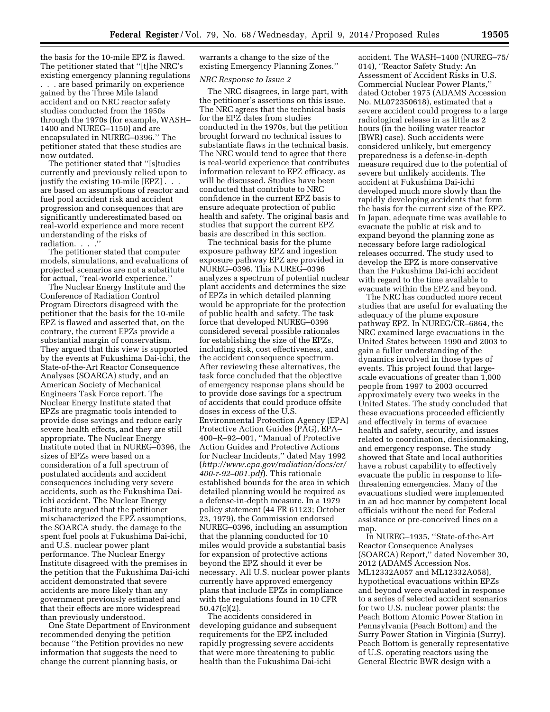the basis for the 10-mile EPZ is flawed. The petitioner stated that ''[t]he NRC's existing emergency planning regulations . . . are based primarily on experience gained by the Three Mile Island accident and on NRC reactor safety studies conducted from the 1950s through the 1970s (for example, WASH– 1400 and NUREG–1150) and are encapsulated in NUREG–0396.'' The petitioner stated that these studies are now outdated.

The petitioner stated that ''[s]tudies currently and previously relied upon to justify the existing 10-mile [EPZ] . . . are based on assumptions of reactor and fuel pool accident risk and accident progression and consequences that are significantly underestimated based on real-world experience and more recent understanding of the risks of radiation. . . .''

The petitioner stated that computer models, simulations, and evaluations of projected scenarios are not a substitute for actual, ''real-world experience.''

The Nuclear Energy Institute and the Conference of Radiation Control Program Directors disagreed with the petitioner that the basis for the 10-mile EPZ is flawed and asserted that, on the contrary, the current EPZs provide a substantial margin of conservatism. They argued that this view is supported by the events at Fukushima Dai-ichi, the State-of-the-Art Reactor Consequence Analyses (SOARCA) study, and an American Society of Mechanical Engineers Task Force report. The Nuclear Energy Institute stated that EPZs are pragmatic tools intended to provide dose savings and reduce early severe health effects, and they are still appropriate. The Nuclear Energy Institute noted that in NUREG–0396, the sizes of EPZs were based on a consideration of a full spectrum of postulated accidents and accident consequences including very severe accidents, such as the Fukushima Daiichi accident. The Nuclear Energy Institute argued that the petitioner mischaracterized the EPZ assumptions, the SOARCA study, the damage to the spent fuel pools at Fukushima Dai-ichi, and U.S. nuclear power plant performance. The Nuclear Energy Institute disagreed with the premises in the petition that the Fukushima Dai-ichi accident demonstrated that severe accidents are more likely than any government previously estimated and that their effects are more widespread than previously understood.

One State Department of Environment recommended denying the petition because ''the Petition provides no new information that suggests the need to change the current planning basis, or

warrants a change to the size of the existing Emergency Planning Zones.''

#### *NRC Response to Issue 2*

The NRC disagrees, in large part, with the petitioner's assertions on this issue. The NRC agrees that the technical basis for the EPZ dates from studies conducted in the 1970s, but the petition brought forward no technical issues to substantiate flaws in the technical basis. The NRC would tend to agree that there is real-world experience that contributes information relevant to EPZ efficacy, as will be discussed. Studies have been conducted that contribute to NRC confidence in the current EPZ basis to ensure adequate protection of public health and safety. The original basis and studies that support the current EPZ basis are described in this section.

The technical basis for the plume exposure pathway EPZ and ingestion exposure pathway EPZ are provided in NUREG–0396. This NUREG–0396 analyzes a spectrum of potential nuclear plant accidents and determines the size of EPZs in which detailed planning would be appropriate for the protection of public health and safety. The task force that developed NUREG–0396 considered several possible rationales for establishing the size of the EPZs, including risk, cost effectiveness, and the accident consequence spectrum. After reviewing these alternatives, the task force concluded that the objective of emergency response plans should be to provide dose savings for a spectrum of accidents that could produce offsite doses in excess of the U.S. Environmental Protection Agency (EPA) Protective Action Guides (PAG), EPA– 400–R–92–001, ''Manual of Protective Action Guides and Protective Actions for Nuclear Incidents,'' dated May 1992 (*[http://www.epa.gov/radiation/docs/er/](http://www.epa.gov/radiation/docs/er/400-r-92-001.pdf) [400-r-92–001.pdf](http://www.epa.gov/radiation/docs/er/400-r-92-001.pdf)*). This rationale established bounds for the area in which detailed planning would be required as a defense-in-depth measure. In a 1979 policy statement (44 FR 61123; October 23, 1979), the Commission endorsed NUREG–0396, including an assumption that the planning conducted for 10 miles would provide a substantial basis for expansion of protective actions beyond the EPZ should it ever be necessary. All U.S. nuclear power plants currently have approved emergency plans that include EPZs in compliance with the regulations found in 10 CFR 50.47(c)(2).

The accidents considered in developing guidance and subsequent requirements for the EPZ included rapidly progressing severe accidents that were more threatening to public health than the Fukushima Dai-ichi

accident. The WASH–1400 (NUREG–75/ 014), ''Reactor Safety Study: An Assessment of Accident Risks in U.S. Commercial Nuclear Power Plants,'' dated October 1975 (ADAMS Accession No. ML072350618), estimated that a severe accident could progress to a large radiological release in as little as 2 hours (in the boiling water reactor (BWR) case). Such accidents were considered unlikely, but emergency preparedness is a defense-in-depth measure required due to the potential of severe but unlikely accidents. The accident at Fukushima Dai-ichi developed much more slowly than the rapidly developing accidents that form the basis for the current size of the EPZ. In Japan, adequate time was available to evacuate the public at risk and to expand beyond the planning zone as necessary before large radiological releases occurred. The study used to develop the EPZ is more conservative than the Fukushima Dai-ichi accident with regard to the time available to evacuate within the EPZ and beyond.

The NRC has conducted more recent studies that are useful for evaluating the adequacy of the plume exposure pathway EPZ. In NUREG/CR–6864, the NRC examined large evacuations in the United States between 1990 and 2003 to gain a fuller understanding of the dynamics involved in those types of events. This project found that largescale evacuations of greater than 1,000 people from 1997 to 2003 occurred approximately every two weeks in the United States. The study concluded that these evacuations proceeded efficiently and effectively in terms of evacuee health and safety, security, and issues related to coordination, decisionmaking, and emergency response. The study showed that State and local authorities have a robust capability to effectively evacuate the public in response to lifethreatening emergencies. Many of the evacuations studied were implemented in an ad hoc manner by competent local officials without the need for Federal assistance or pre-conceived lines on a map.

In NUREG–1935, ''State-of-the-Art Reactor Consequence Analyses (SOARCA) Report,'' dated November 30, 2012 (ADAMS Accession Nos. ML12332A057 and ML12332A058), hypothetical evacuations within EPZs and beyond were evaluated in response to a series of selected accident scenarios for two U.S. nuclear power plants: the Peach Bottom Atomic Power Station in Pennsylvania (Peach Bottom) and the Surry Power Station in Virginia (Surry). Peach Bottom is generally representative of U.S. operating reactors using the General Electric BWR design with a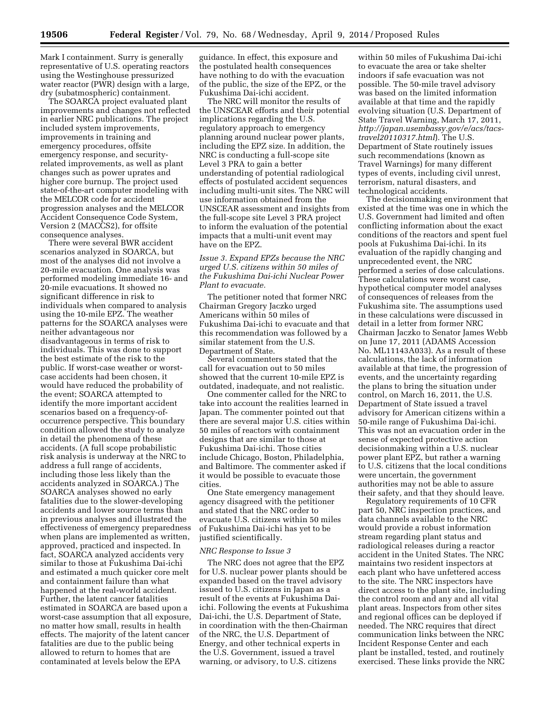Mark I containment. Surry is generally representative of U.S. operating reactors using the Westinghouse pressurized water reactor (PWR) design with a large, dry (subatmospheric) containment.

The SOARCA project evaluated plant improvements and changes not reflected in earlier NRC publications. The project included system improvements, improvements in training and emergency procedures, offsite emergency response, and securityrelated improvements, as well as plant changes such as power uprates and higher core burnup. The project used state-of-the-art computer modeling with the MELCOR code for accident progression analyses and the MELCOR Accident Consequence Code System, Version 2 (MACCS2), for offsite consequence analyses.

There were several BWR accident scenarios analyzed in SOARCA, but most of the analyses did not involve a 20-mile evacuation. One analysis was performed modeling immediate 16- and 20-mile evacuations. It showed no significant difference in risk to individuals when compared to analysis using the 10-mile EPZ. The weather patterns for the SOARCA analyses were neither advantageous nor disadvantageous in terms of risk to individuals. This was done to support the best estimate of the risk to the public. If worst-case weather or worstcase accidents had been chosen, it would have reduced the probability of the event; SOARCA attempted to identify the more important accident scenarios based on a frequency-ofoccurrence perspective. This boundary condition allowed the study to analyze in detail the phenomena of these accidents. (A full scope probabilistic risk analysis is underway at the NRC to address a full range of accidents, including those less likely than the accidents analyzed in SOARCA.) The SOARCA analyses showed no early fatalities due to the slower-developing accidents and lower source terms than in previous analyses and illustrated the effectiveness of emergency preparedness when plans are implemented as written, approved, practiced and inspected. In fact, SOARCA analyzed accidents very similar to those at Fukushima Dai-ichi and estimated a much quicker core melt and containment failure than what happened at the real-world accident. Further, the latent cancer fatalities estimated in SOARCA are based upon a worst-case assumption that all exposure, no matter how small, results in health effects. The majority of the latent cancer fatalities are due to the public being allowed to return to homes that are contaminated at levels below the EPA

guidance. In effect, this exposure and the postulated health consequences have nothing to do with the evacuation of the public, the size of the EPZ, or the Fukushima Dai-ichi accident.

The NRC will monitor the results of the UNSCEAR efforts and their potential implications regarding the U.S. regulatory approach to emergency planning around nuclear power plants, including the EPZ size. In addition, the NRC is conducting a full-scope site Level 3 PRA to gain a better understanding of potential radiological effects of postulated accident sequences including multi-unit sites. The NRC will use information obtained from the UNSCEAR assessment and insights from the full-scope site Level 3 PRA project to inform the evaluation of the potential impacts that a multi-unit event may have on the EPZ.

# *Issue 3. Expand EPZs because the NRC urged U.S. citizens within 50 miles of the Fukushima Dai-ichi Nuclear Power Plant to evacuate.*

The petitioner noted that former NRC Chairman Gregory Jaczko urged Americans within 50 miles of Fukushima Dai-ichi to evacuate and that this recommendation was followed by a similar statement from the U.S. Department of State.

Several commenters stated that the call for evacuation out to 50 miles showed that the current 10-mile EPZ is outdated, inadequate, and not realistic.

One commenter called for the NRC to take into account the realities learned in Japan. The commenter pointed out that there are several major U.S. cities within 50 miles of reactors with containment designs that are similar to those at Fukushima Dai-ichi. Those cities include Chicago, Boston, Philadelphia, and Baltimore. The commenter asked if it would be possible to evacuate those cities.

One State emergency management agency disagreed with the petitioner and stated that the NRC order to evacuate U.S. citizens within 50 miles of Fukushima Dai-ichi has yet to be justified scientifically.

#### *NRC Response to Issue 3*

The NRC does not agree that the EPZ for U.S. nuclear power plants should be expanded based on the travel advisory issued to U.S. citizens in Japan as a result of the events at Fukushima Daiichi. Following the events at Fukushima Dai-ichi, the U.S. Department of State, in coordination with the then-Chairman of the NRC, the U.S. Department of Energy, and other technical experts in the U.S. Government, issued a travel warning, or advisory, to U.S. citizens

within 50 miles of Fukushima Dai-ichi to evacuate the area or take shelter indoors if safe evacuation was not possible. The 50-mile travel advisory was based on the limited information available at that time and the rapidly evolving situation (U.S. Department of State Travel Warning, March 17, 2011, *[http://japan.usembassy.gov/e/acs/tacs](http://japan.usembassy.gov/e/acs/tacs-travel20110317.html)[travel20110317.html](http://japan.usembassy.gov/e/acs/tacs-travel20110317.html)*). The U.S. Department of State routinely issues such recommendations (known as Travel Warnings) for many different types of events, including civil unrest, terrorism, natural disasters, and technological accidents.

The decisionmaking environment that existed at the time was one in which the U.S. Government had limited and often conflicting information about the exact conditions of the reactors and spent fuel pools at Fukushima Dai-ichi. In its evaluation of the rapidly changing and unprecedented event, the NRC performed a series of dose calculations. These calculations were worst case, hypothetical computer model analyses of consequences of releases from the Fukushima site. The assumptions used in these calculations were discussed in detail in a letter from former NRC Chairman Jaczko to Senator James Webb on June 17, 2011 (ADAMS Accession No. ML11143A033). As a result of these calculations, the lack of information available at that time, the progression of events, and the uncertainty regarding the plans to bring the situation under control, on March 16, 2011, the U.S. Department of State issued a travel advisory for American citizens within a 50-mile range of Fukushima Dai-ichi. This was not an evacuation order in the sense of expected protective action decisionmaking within a U.S. nuclear power plant EPZ, but rather a warning to U.S. citizens that the local conditions were uncertain, the government authorities may not be able to assure their safety, and that they should leave.

Regulatory requirements of 10 CFR part 50, NRC inspection practices, and data channels available to the NRC would provide a robust information stream regarding plant status and radiological releases during a reactor accident in the United States. The NRC maintains two resident inspectors at each plant who have unfettered access to the site. The NRC inspectors have direct access to the plant site, including the control room and any and all vital plant areas. Inspectors from other sites and regional offices can be deployed if needed. The NRC requires that direct communication links between the NRC Incident Response Center and each plant be installed, tested, and routinely exercised. These links provide the NRC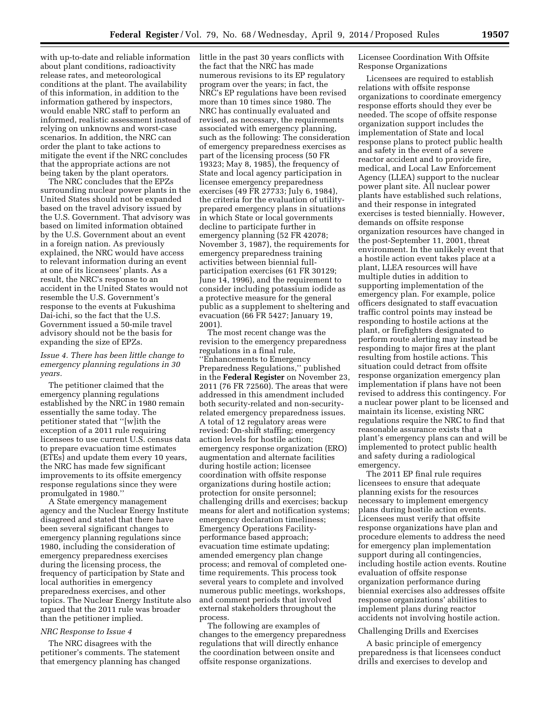with up-to-date and reliable information about plant conditions, radioactivity release rates, and meteorological conditions at the plant. The availability of this information, in addition to the information gathered by inspectors, would enable NRC staff to perform an informed, realistic assessment instead of relying on unknowns and worst-case scenarios. In addition, the NRC can order the plant to take actions to mitigate the event if the NRC concludes that the appropriate actions are not being taken by the plant operators.

The NRC concludes that the EPZs surrounding nuclear power plants in the United States should not be expanded based on the travel advisory issued by the U.S. Government. That advisory was based on limited information obtained by the U.S. Government about an event in a foreign nation. As previously explained, the NRC would have access to relevant information during an event at one of its licensees' plants. As a result, the NRC's response to an accident in the United States would not resemble the U.S. Government's response to the events at Fukushima Dai-ichi, so the fact that the U.S. Government issued a 50-mile travel advisory should not be the basis for expanding the size of EPZs.

# *Issue 4. There has been little change to emergency planning regulations in 30 years.*

The petitioner claimed that the emergency planning regulations established by the NRC in 1980 remain essentially the same today. The petitioner stated that ''[w]ith the exception of a 2011 rule requiring licensees to use current U.S. census data to prepare evacuation time estimates (ETEs) and update them every 10 years, the NRC has made few significant improvements to its offsite emergency response regulations since they were promulgated in 1980.''

A State emergency management agency and the Nuclear Energy Institute disagreed and stated that there have been several significant changes to emergency planning regulations since 1980, including the consideration of emergency preparedness exercises during the licensing process, the frequency of participation by State and local authorities in emergency preparedness exercises, and other topics. The Nuclear Energy Institute also argued that the 2011 rule was broader than the petitioner implied.

## *NRC Response to Issue 4*

The NRC disagrees with the petitioner's comments. The statement that emergency planning has changed little in the past 30 years conflicts with the fact that the NRC has made numerous revisions to its EP regulatory program over the years; in fact, the NRC's EP regulations have been revised more than 10 times since 1980. The NRC has continually evaluated and revised, as necessary, the requirements associated with emergency planning, such as the following: The consideration of emergency preparedness exercises as part of the licensing process (50 FR 19323; May 8, 1985), the frequency of State and local agency participation in licensee emergency preparedness exercises (49 FR 27733; July 6, 1984), the criteria for the evaluation of utilityprepared emergency plans in situations in which State or local governments decline to participate further in emergency planning (52 FR 42078; November 3, 1987), the requirements for emergency preparedness training activities between biennial fullparticipation exercises (61 FR 30129; June 14, 1996), and the requirement to consider including potassium iodide as a protective measure for the general public as a supplement to sheltering and evacuation (66 FR 5427; January 19, 2001).

The most recent change was the revision to the emergency preparedness regulations in a final rule, ''Enhancements to Emergency Preparedness Regulations,'' published in the **Federal Register** on November 23, 2011 (76 FR 72560). The areas that were addressed in this amendment included both security-related and non-securityrelated emergency preparedness issues. A total of 12 regulatory areas were revised: On-shift staffing; emergency action levels for hostile action; emergency response organization (ERO) augmentation and alternate facilities during hostile action; licensee coordination with offsite response organizations during hostile action; protection for onsite personnel; challenging drills and exercises; backup means for alert and notification systems; emergency declaration timeliness; Emergency Operations Facilityperformance based approach; evacuation time estimate updating; amended emergency plan change process; and removal of completed onetime requirements. This process took several years to complete and involved numerous public meetings, workshops, and comment periods that involved external stakeholders throughout the process.

The following are examples of changes to the emergency preparedness regulations that will directly enhance the coordination between onsite and offsite response organizations.

Licensee Coordination With Offsite Response Organizations

Licensees are required to establish relations with offsite response organizations to coordinate emergency response efforts should they ever be needed. The scope of offsite response organization support includes the implementation of State and local response plans to protect public health and safety in the event of a severe reactor accident and to provide fire, medical, and Local Law Enforcement Agency (LLEA) support to the nuclear power plant site. All nuclear power plants have established such relations, and their response in integrated exercises is tested biennially. However, demands on offsite response organization resources have changed in the post-September 11, 2001, threat environment. In the unlikely event that a hostile action event takes place at a plant, LLEA resources will have multiple duties in addition to supporting implementation of the emergency plan. For example, police officers designated to staff evacuation traffic control points may instead be responding to hostile actions at the plant, or firefighters designated to perform route alerting may instead be responding to major fires at the plant resulting from hostile actions. This situation could detract from offsite response organization emergency plan implementation if plans have not been revised to address this contingency. For a nuclear power plant to be licensed and maintain its license, existing NRC regulations require the NRC to find that reasonable assurance exists that a plant's emergency plans can and will be implemented to protect public health and safety during a radiological emergency.

The 2011 EP final rule requires licensees to ensure that adequate planning exists for the resources necessary to implement emergency plans during hostile action events. Licensees must verify that offsite response organizations have plan and procedure elements to address the need for emergency plan implementation support during all contingencies, including hostile action events. Routine evaluation of offsite response organization performance during biennial exercises also addresses offsite response organizations' abilities to implement plans during reactor accidents not involving hostile action.

## Challenging Drills and Exercises

A basic principle of emergency preparedness is that licensees conduct drills and exercises to develop and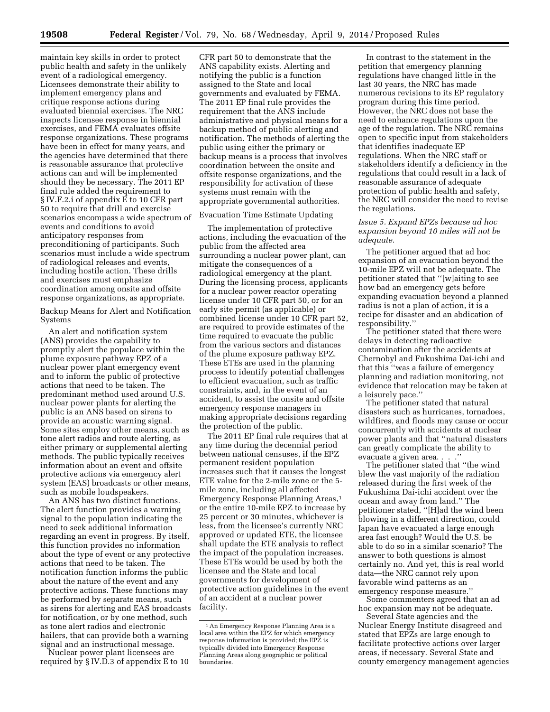maintain key skills in order to protect public health and safety in the unlikely event of a radiological emergency. Licensees demonstrate their ability to implement emergency plans and critique response actions during evaluated biennial exercises. The NRC inspects licensee response in biennial exercises, and FEMA evaluates offsite response organizations. These programs have been in effect for many years, and the agencies have determined that there is reasonable assurance that protective actions can and will be implemented should they be necessary. The 2011 EP final rule added the requirement to § IV.F.2.i of appendix E to 10 CFR part 50 to require that drill and exercise scenarios encompass a wide spectrum of events and conditions to avoid anticipatory responses from preconditioning of participants. Such scenarios must include a wide spectrum of radiological releases and events, including hostile action. These drills and exercises must emphasize coordination among onsite and offsite response organizations, as appropriate.

Backup Means for Alert and Notification Systems

An alert and notification system (ANS) provides the capability to promptly alert the populace within the plume exposure pathway EPZ of a nuclear power plant emergency event and to inform the public of protective actions that need to be taken. The predominant method used around U.S. nuclear power plants for alerting the public is an ANS based on sirens to provide an acoustic warning signal. Some sites employ other means, such as tone alert radios and route alerting, as either primary or supplemental alerting methods. The public typically receives information about an event and offsite protective actions via emergency alert system (EAS) broadcasts or other means, such as mobile loudspeakers.

An ANS has two distinct functions. The alert function provides a warning signal to the population indicating the need to seek additional information regarding an event in progress. By itself, this function provides no information about the type of event or any protective actions that need to be taken. The notification function informs the public about the nature of the event and any protective actions. These functions may be performed by separate means, such as sirens for alerting and EAS broadcasts for notification, or by one method, such as tone alert radios and electronic hailers, that can provide both a warning signal and an instructional message.

Nuclear power plant licensees are required by § IV.D.3 of appendix E to 10 CFR part 50 to demonstrate that the ANS capability exists. Alerting and notifying the public is a function assigned to the State and local governments and evaluated by FEMA. The 2011 EP final rule provides the requirement that the ANS include administrative and physical means for a backup method of public alerting and notification. The methods of alerting the public using either the primary or backup means is a process that involves coordination between the onsite and offsite response organizations, and the responsibility for activation of these systems must remain with the appropriate governmental authorities.

Evacuation Time Estimate Updating

The implementation of protective actions, including the evacuation of the public from the affected area surrounding a nuclear power plant, can mitigate the consequences of a radiological emergency at the plant. During the licensing process, applicants for a nuclear power reactor operating license under 10 CFR part 50, or for an early site permit (as applicable) or combined license under 10 CFR part 52, are required to provide estimates of the time required to evacuate the public from the various sectors and distances of the plume exposure pathway EPZ. These ETEs are used in the planning process to identify potential challenges to efficient evacuation, such as traffic constraints, and, in the event of an accident, to assist the onsite and offsite emergency response managers in making appropriate decisions regarding the protection of the public.

The 2011 EP final rule requires that at any time during the decennial period between national censuses, if the EPZ permanent resident population increases such that it causes the longest ETE value for the 2-mile zone or the 5 mile zone, including all affected Emergency Response Planning Areas,1 or the entire 10-mile EPZ to increase by 25 percent or 30 minutes, whichever is less, from the licensee's currently NRC approved or updated ETE, the licensee shall update the ETE analysis to reflect the impact of the population increases. These ETEs would be used by both the licensee and the State and local governments for development of protective action guidelines in the event of an accident at a nuclear power facility.

In contrast to the statement in the petition that emergency planning regulations have changed little in the last 30 years, the NRC has made numerous revisions to its EP regulatory program during this time period. However, the NRC does not base the need to enhance regulations upon the age of the regulation. The NRC remains open to specific input from stakeholders that identifies inadequate EP regulations. When the NRC staff or stakeholders identify a deficiency in the regulations that could result in a lack of reasonable assurance of adequate protection of public health and safety, the NRC will consider the need to revise the regulations.

# *Issue 5. Expand EPZs because ad hoc expansion beyond 10 miles will not be adequate.*

The petitioner argued that ad hoc expansion of an evacuation beyond the 10-mile EPZ will not be adequate. The petitioner stated that ''[w]aiting to see how bad an emergency gets before expanding evacuation beyond a planned radius is not a plan of action, it is a recipe for disaster and an abdication of responsibility.''

The petitioner stated that there were delays in detecting radioactive contamination after the accidents at Chernobyl and Fukushima Dai-ichi and that this ''was a failure of emergency planning and radiation monitoring, not evidence that relocation may be taken at a leisurely pace.''

The petitioner stated that natural disasters such as hurricanes, tornadoes, wildfires, and floods may cause or occur concurrently with accidents at nuclear power plants and that ''natural disasters can greatly complicate the ability to evacuate a given area. . . .''

The petitioner stated that ''the wind blew the vast majority of the radiation released during the first week of the Fukushima Dai-ichi accident over the ocean and away from land.'' The petitioner stated, ''[H]ad the wind been blowing in a different direction, could Japan have evacuated a large enough area fast enough? Would the U.S. be able to do so in a similar scenario? The answer to both questions is almost certainly no. And yet, this is real world data—the NRC cannot rely upon favorable wind patterns as an emergency response measure.''

Some commenters agreed that an ad hoc expansion may not be adequate.

Several State agencies and the Nuclear Energy Institute disagreed and stated that EPZs are large enough to facilitate protective actions over larger areas, if necessary. Several State and county emergency management agencies

<sup>1</sup>An Emergency Response Planning Area is a local area within the EPZ for which emergency response information is provided; the EPZ is typically divided into Emergency Response Planning Areas along geographic or political boundaries.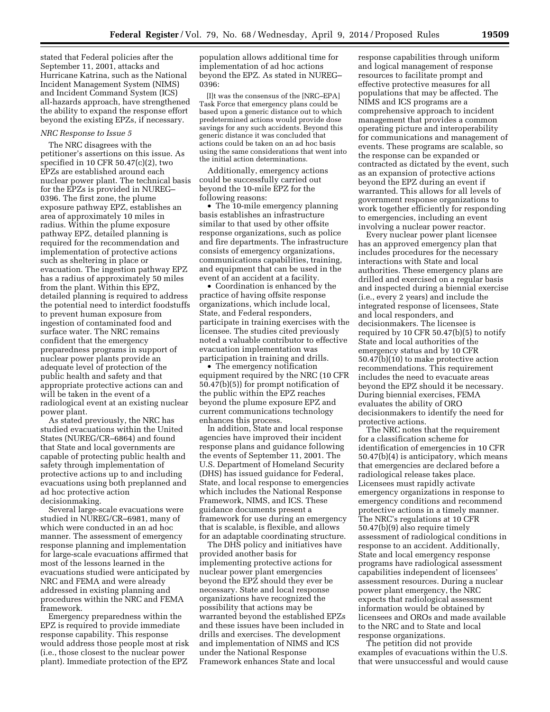stated that Federal policies after the September 11, 2001, attacks and Hurricane Katrina, such as the National Incident Management System (NIMS) and Incident Command System (ICS) all-hazards approach, have strengthened the ability to expand the response effort beyond the existing EPZs, if necessary.

## *NRC Response to Issue 5*

The NRC disagrees with the petitioner's assertions on this issue. As specified in 10 CFR 50.47(c)(2), two EPZs are established around each nuclear power plant. The technical basis for the EPZs is provided in NUREG– 0396. The first zone, the plume exposure pathway EPZ, establishes an area of approximately 10 miles in radius. Within the plume exposure pathway EPZ, detailed planning is required for the recommendation and implementation of protective actions such as sheltering in place or evacuation. The ingestion pathway EPZ has a radius of approximately 50 miles from the plant. Within this EPZ, detailed planning is required to address the potential need to interdict foodstuffs to prevent human exposure from ingestion of contaminated food and surface water. The NRC remains confident that the emergency preparedness programs in support of nuclear power plants provide an adequate level of protection of the public health and safety and that appropriate protective actions can and will be taken in the event of a radiological event at an existing nuclear power plant.

As stated previously, the NRC has studied evacuations within the United States (NUREG/CR–6864) and found that State and local governments are capable of protecting public health and safety through implementation of protective actions up to and including evacuations using both preplanned and ad hoc protective action decisionmaking.

Several large-scale evacuations were studied in NUREG/CR–6981, many of which were conducted in an ad hoc manner. The assessment of emergency response planning and implementation for large-scale evacuations affirmed that most of the lessons learned in the evacuations studied were anticipated by NRC and FEMA and were already addressed in existing planning and procedures within the NRC and FEMA framework.

Emergency preparedness within the EPZ is required to provide immediate response capability. This response would address those people most at risk (i.e., those closest to the nuclear power plant). Immediate protection of the EPZ

population allows additional time for implementation of ad hoc actions beyond the EPZ. As stated in NUREG– 0396:

[I]t was the consensus of the [NRC–EPA] Task Force that emergency plans could be based upon a generic distance out to which predetermined actions would provide dose savings for any such accidents. Beyond this generic distance it was concluded that actions could be taken on an ad hoc basis using the same considerations that went into the initial action determinations.

Additionally, emergency actions could be successfully carried out beyond the 10-mile EPZ for the following reasons:

• The 10-mile emergency planning basis establishes an infrastructure similar to that used by other offsite response organizations, such as police and fire departments. The infrastructure consists of emergency organizations, communications capabilities, training, and equipment that can be used in the event of an accident at a facility.

• Coordination is enhanced by the practice of having offsite response organizations, which include local, State, and Federal responders, participate in training exercises with the licensee. The studies cited previously noted a valuable contributor to effective evacuation implementation was participation in training and drills.

• The emergency notification equipment required by the NRC (10 CFR 50.47(b)(5)) for prompt notification of the public within the EPZ reaches beyond the plume exposure EPZ and current communications technology enhances this process.

In addition, State and local response agencies have improved their incident response plans and guidance following the events of September 11, 2001. The U.S. Department of Homeland Security (DHS) has issued guidance for Federal, State, and local response to emergencies which includes the National Response Framework, NIMS, and ICS. These guidance documents present a framework for use during an emergency that is scalable, is flexible, and allows for an adaptable coordinating structure.

The DHS policy and initiatives have provided another basis for implementing protective actions for nuclear power plant emergencies beyond the EPZ should they ever be necessary. State and local response organizations have recognized the possibility that actions may be warranted beyond the established EPZs and these issues have been included in drills and exercises. The development and implementation of NIMS and ICS under the National Response Framework enhances State and local

response capabilities through uniform and logical management of response resources to facilitate prompt and effective protective measures for all populations that may be affected. The NIMS and ICS programs are a comprehensive approach to incident management that provides a common operating picture and interoperability for communications and management of events. These programs are scalable, so the response can be expanded or contracted as dictated by the event, such as an expansion of protective actions beyond the EPZ during an event if warranted. This allows for all levels of government response organizations to work together efficiently for responding to emergencies, including an event involving a nuclear power reactor.

Every nuclear power plant licensee has an approved emergency plan that includes procedures for the necessary interactions with State and local authorities. These emergency plans are drilled and exercised on a regular basis and inspected during a biennial exercise (i.e., every 2 years) and include the integrated response of licensees, State and local responders, and decisionmakers. The licensee is required by 10 CFR 50.47(b)(5) to notify State and local authorities of the emergency status and by 10 CFR 50.47(b)(10) to make protective action recommendations. This requirement includes the need to evacuate areas beyond the EPZ should it be necessary. During biennial exercises, FEMA evaluates the ability of ORO decisionmakers to identify the need for protective actions.

The NRC notes that the requirement for a classification scheme for identification of emergencies in 10 CFR 50.47(b)(4) is anticipatory, which means that emergencies are declared before a radiological release takes place. Licensees must rapidly activate emergency organizations in response to emergency conditions and recommend protective actions in a timely manner. The NRC's regulations at 10 CFR 50.47(b)(9) also require timely assessment of radiological conditions in response to an accident. Additionally, State and local emergency response programs have radiological assessment capabilities independent of licensees' assessment resources. During a nuclear power plant emergency, the NRC expects that radiological assessment information would be obtained by licensees and OROs and made available to the NRC and to State and local response organizations.

The petition did not provide examples of evacuations within the U.S. that were unsuccessful and would cause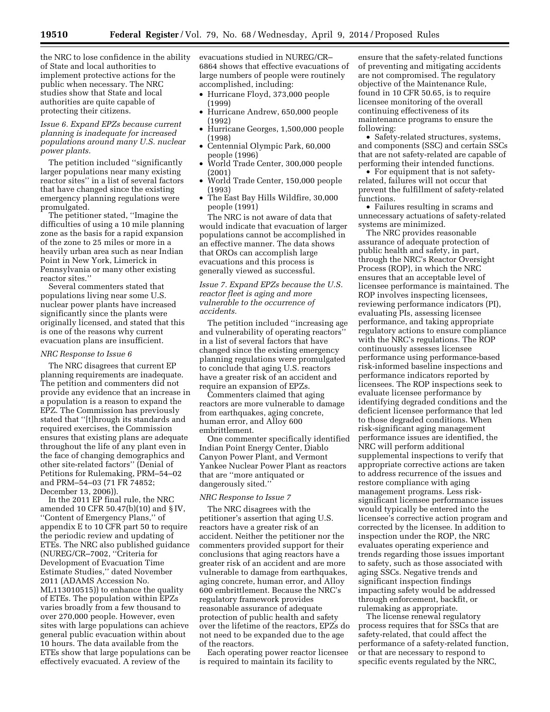the NRC to lose confidence in the ability of State and local authorities to implement protective actions for the public when necessary. The NRC studies show that State and local authorities are quite capable of protecting their citizens.

*Issue 6. Expand EPZs because current planning is inadequate for increased populations around many U.S. nuclear power plants.* 

The petition included ''significantly larger populations near many existing reactor sites'' in a list of several factors that have changed since the existing emergency planning regulations were promulgated.

The petitioner stated, ''Imagine the difficulties of using a 10 mile planning zone as the basis for a rapid expansion of the zone to 25 miles or more in a heavily urban area such as near Indian Point in New York, Limerick in Pennsylvania or many other existing reactor sites.''

Several commenters stated that populations living near some U.S. nuclear power plants have increased significantly since the plants were originally licensed, and stated that this is one of the reasons why current evacuation plans are insufficient.

# *NRC Response to Issue 6*

The NRC disagrees that current EP planning requirements are inadequate. The petition and commenters did not provide any evidence that an increase in a population is a reason to expand the EPZ. The Commission has previously stated that ''[t]hrough its standards and required exercises, the Commission ensures that existing plans are adequate throughout the life of any plant even in the face of changing demographics and other site-related factors'' (Denial of Petitions for Rulemaking, PRM–54–02 and PRM–54–03 (71 FR 74852; December 13, 2006)).

In the 2011 EP final rule, the NRC amended 10 CFR 50.47(b)(10) and § IV, ''Content of Emergency Plans,'' of appendix E to 10 CFR part 50 to require the periodic review and updating of ETEs. The NRC also published guidance (NUREG/CR–7002, ''Criteria for Development of Evacuation Time Estimate Studies,'' dated November 2011 (ADAMS Accession No. ML113010515)) to enhance the quality of ETEs. The population within EPZs varies broadly from a few thousand to over 270,000 people. However, even sites with large populations can achieve general public evacuation within about 10 hours. The data available from the ETEs show that large populations can be effectively evacuated. A review of the

evacuations studied in NUREG/CR– 6864 shows that effective evacuations of large numbers of people were routinely accomplished, including:

- Hurricane Floyd, 373,000 people (1999)
- Hurricane Andrew, 650,000 people (1992)
- Hurricane Georges, 1,500,000 people (1998)
- Centennial Olympic Park, 60,000 people (1996)
- World Trade Center, 300,000 people (2001)
- World Trade Center, 150,000 people (1993)
- The East Bay Hills Wildfire, 30,000 people (1991)

The NRC is not aware of data that would indicate that evacuation of larger populations cannot be accomplished in an effective manner. The data shows that OROs can accomplish large evacuations and this process is generally viewed as successful.

*Issue 7. Expand EPZs because the U.S. reactor fleet is aging and more vulnerable to the occurrence of accidents.* 

The petition included ''increasing age and vulnerability of operating reactors'' in a list of several factors that have changed since the existing emergency planning regulations were promulgated to conclude that aging U.S. reactors have a greater risk of an accident and require an expansion of EPZs.

Commenters claimed that aging reactors are more vulnerable to damage from earthquakes, aging concrete, human error, and Alloy 600 embrittlement.

One commenter specifically identified Indian Point Energy Center, Diablo Canyon Power Plant, and Vermont Yankee Nuclear Power Plant as reactors that are ''more antiquated or dangerously sited.''

# *NRC Response to Issue 7*

The NRC disagrees with the petitioner's assertion that aging U.S. reactors have a greater risk of an accident. Neither the petitioner nor the commenters provided support for their conclusions that aging reactors have a greater risk of an accident and are more vulnerable to damage from earthquakes, aging concrete, human error, and Alloy 600 embrittlement. Because the NRC's regulatory framework provides reasonable assurance of adequate protection of public health and safety over the lifetime of the reactors, EPZs do not need to be expanded due to the age of the reactors.

Each operating power reactor licensee is required to maintain its facility to

ensure that the safety-related functions of preventing and mitigating accidents are not compromised. The regulatory objective of the Maintenance Rule, found in 10 CFR 50.65, is to require licensee monitoring of the overall continuing effectiveness of its maintenance programs to ensure the following:

• Safety-related structures, systems, and components (SSC) and certain SSCs that are not safety-related are capable of performing their intended functions.

• For equipment that is not safetyrelated, failures will not occur that prevent the fulfillment of safety-related functions.

• Failures resulting in scrams and unnecessary actuations of safety-related systems are minimized.

The NRC provides reasonable assurance of adequate protection of public health and safety, in part, through the NRC's Reactor Oversight Process (ROP), in which the NRC ensures that an acceptable level of licensee performance is maintained. The ROP involves inspecting licensees, reviewing performance indicators (PI), evaluating PIs, assessing licensee performance, and taking appropriate regulatory actions to ensure compliance with the NRC's regulations. The ROP continuously assesses licensee performance using performance-based risk-informed baseline inspections and performance indicators reported by licensees. The ROP inspections seek to evaluate licensee performance by identifying degraded conditions and the deficient licensee performance that led to those degraded conditions. When risk-significant aging management performance issues are identified, the NRC will perform additional supplemental inspections to verify that appropriate corrective actions are taken to address recurrence of the issues and restore compliance with aging management programs. Less risksignificant licensee performance issues would typically be entered into the licensee's corrective action program and corrected by the licensee. In addition to inspection under the ROP, the NRC evaluates operating experience and trends regarding those issues important to safety, such as those associated with aging SSCs. Negative trends and significant inspection findings impacting safety would be addressed through enforcement, backfit, or rulemaking as appropriate.

The license renewal regulatory process requires that for SSCs that are safety-related, that could affect the performance of a safety-related function, or that are necessary to respond to specific events regulated by the NRC,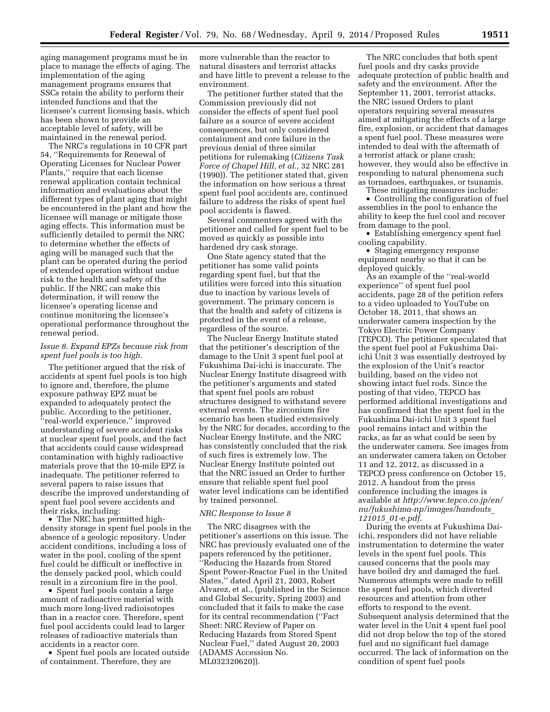aging management programs must be in place to manage the effects of aging. The implementation of the aging management programs ensures that SSCs retain the ability to perform their intended functions and that the licensee's current licensing basis, which has been shown to provide an acceptable level of safety, will be maintained in the renewal period.

The NRC's regulations in 10 CFR part 54, ''Requirements for Renewal of Operating Licenses for Nuclear Power Plants,'' require that each license renewal application contain technical information and evaluations about the different types of plant aging that might be encountered in the plant and how the licensee will manage or mitigate those aging effects. This information must be sufficiently detailed to permit the NRC to determine whether the effects of aging will be managed such that the plant can be operated during the period of extended operation without undue risk to the health and safety of the public. If the NRC can make this determination, it will renew the licensee's operating license and continue monitoring the licensee's operational performance throughout the renewal period.

## *Issue 8. Expand EPZs because risk from spent fuel pools is too high.*

The petitioner argued that the risk of accidents at spent fuel pools is too high to ignore and, therefore, the plume exposure pathway EPZ must be expanded to adequately protect the public. According to the petitioner, ''real-world experience,'' improved understanding of severe accident risks at nuclear spent fuel pools, and the fact that accidents could cause widespread contamination with highly radioactive materials prove that the 10-mile EPZ is inadequate. The petitioner referred to several papers to raise issues that describe the improved understanding of spent fuel pool severe accidents and their risks, including:

• The NRC has permitted highdensity storage in spent fuel pools in the absence of a geologic repository. Under accident conditions, including a loss of water in the pool, cooling of the spent fuel could be difficult or ineffective in the densely packed pool, which could result in a zirconium fire in the pool.

• Spent fuel pools contain a large amount of radioactive material with much more long-lived radioisotopes than in a reactor core. Therefore, spent fuel pool accidents could lead to larger releases of radioactive materials than accidents in a reactor core.

• Spent fuel pools are located outside of containment. Therefore, they are

more vulnerable than the reactor to natural disasters and terrorist attacks and have little to prevent a release to the environment.

The petitioner further stated that the Commission previously did not consider the effects of spent fuel pool failure as a source of severe accident consequences, but only considered containment and core failure in the previous denial of three similar petitions for rulemaking (*Citizens Task Force of Chapel Hill, et al.,* 32 NRC 281 (1990)). The petitioner stated that, given the information on how serious a threat spent fuel pool accidents are, continued failure to address the risks of spent fuel pool accidents is flawed.

Several commenters agreed with the petitioner and called for spent fuel to be moved as quickly as possible into hardened dry cask storage.

One State agency stated that the petitioner has some valid points regarding spent fuel, but that the utilities were forced into this situation due to inaction by various levels of government. The primary concern is that the health and safety of citizens is protected in the event of a release, regardless of the source.

The Nuclear Energy Institute stated that the petitioner's description of the damage to the Unit 3 spent fuel pool at Fukushima Dai-ichi is inaccurate. The Nuclear Energy Institute disagreed with the petitioner's arguments and stated that spent fuel pools are robust structures designed to withstand severe external events. The zirconium fire scenario has been studied extensively by the NRC for decades, according to the Nuclear Energy Institute, and the NRC has consistently concluded that the risk of such fires is extremely low. The Nuclear Energy Institute pointed out that the NRC issued an Order to further ensure that reliable spent fuel pool water level indications can be identified by trained personnel.

## *NRC Response to Issue 8*

The NRC disagrees with the petitioner's assertions on this issue. The NRC has previously evaluated one of the papers referenced by the petitioner, ''Reducing the Hazards from Stored Spent Power-Reactor Fuel in the United States,'' dated April 21, 2003, Robert Alvarez, et al., (published in the Science and Global Security, Spring 2003) and concluded that it fails to make the case for its central recommendation (''Fact Sheet: NRC Review of Paper on Reducing Hazards from Stored Spent Nuclear Fuel,'' dated August 20, 2003 (ADAMS Accession No. ML032320620)).

The NRC concludes that both spent fuel pools and dry casks provide adequate protection of public health and safety and the environment. After the September 11, 2001, terrorist attacks, the NRC issued Orders to plant operators requiring several measures aimed at mitigating the effects of a large fire, explosion, or accident that damages a spent fuel pool. These measures were intended to deal with the aftermath of a terrorist attack or plane crash; however, they would also be effective in responding to natural phenomena such as tornadoes, earthquakes, or tsunamis.

These mitigating measures include:

• Controlling the configuration of fuel assemblies in the pool to enhance the ability to keep the fuel cool and recover from damage to the pool.

• Establishing emergency spent fuel cooling capability.

• Staging emergency response equipment nearby so that it can be deployed quickly.

As an example of the ''real-world experience'' of spent fuel pool accidents, page 28 of the petition refers to a video uploaded to YouTube on October 18, 2011, that shows an underwater camera inspection by the Tokyo Electric Power Company (TEPCO). The petitioner speculated that the spent fuel pool at Fukushima Daiichi Unit 3 was essentially destroyed by the explosion of the Unit's reactor building, based on the video not showing intact fuel rods. Since the posting of that video, TEPCO has performed additional investigations and has confirmed that the spent fuel in the Fukushima Dai-ichi Unit 3 spent fuel pool remains intact and within the racks, as far as what could be seen by the underwater camera. See images from an underwater camera taken on October 11 and 12, 2012, as discussed in a TEPCO press conference on October 15, 2012. A handout from the press conference including the images is available at *[http://www.tepco.co.jp/en/](http://www.tepco.co.jp/en/nu/fukushima-np/images/handouts_121015_01-e.pdf) [nu/fukushima-np/images/handouts](http://www.tepco.co.jp/en/nu/fukushima-np/images/handouts_121015_01-e.pdf)*\_ *121015*\_*[01-e.pdf](http://www.tepco.co.jp/en/nu/fukushima-np/images/handouts_121015_01-e.pdf)*.

During the events at Fukushima Daiichi, responders did not have reliable instrumentation to determine the water levels in the spent fuel pools. This caused concerns that the pools may have boiled dry and damaged the fuel. Numerous attempts were made to refill the spent fuel pools, which diverted resources and attention from other efforts to respond to the event. Subsequent analysis determined that the water level in the Unit 4 spent fuel pool did not drop below the top of the stored fuel and no significant fuel damage occurred. The lack of information on the condition of spent fuel pools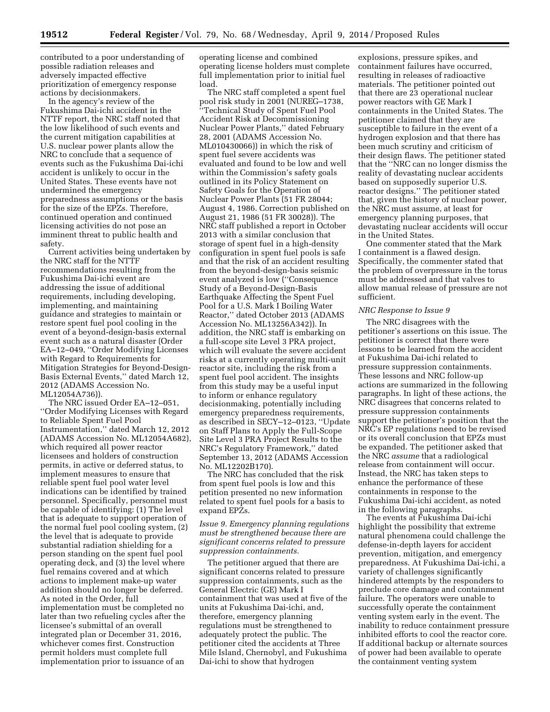contributed to a poor understanding of possible radiation releases and adversely impacted effective prioritization of emergency response actions by decisionmakers.

In the agency's review of the Fukushima Dai-ichi accident in the NTTF report, the NRC staff noted that the low likelihood of such events and the current mitigation capabilities at U.S. nuclear power plants allow the NRC to conclude that a sequence of events such as the Fukushima Dai-ichi accident is unlikely to occur in the United States. These events have not undermined the emergency preparedness assumptions or the basis for the size of the EPZs. Therefore, continued operation and continued licensing activities do not pose an imminent threat to public health and safety.

Current activities being undertaken by the NRC staff for the NTTF recommendations resulting from the Fukushima Dai-ichi event are addressing the issue of additional requirements, including developing, implementing, and maintaining guidance and strategies to maintain or restore spent fuel pool cooling in the event of a beyond-design-basis external event such as a natural disaster (Order EA–12–049, ''Order Modifying Licenses with Regard to Requirements for Mitigation Strategies for Beyond-Design-Basis External Events,'' dated March 12, 2012 (ADAMS Accession No. ML12054A736)).

The NRC issued Order EA–12–051, ''Order Modifying Licenses with Regard to Reliable Spent Fuel Pool Instrumentation,'' dated March 12, 2012 (ADAMS Accession No. ML12054A682), which required all power reactor licensees and holders of construction permits, in active or deferred status, to implement measures to ensure that reliable spent fuel pool water level indications can be identified by trained personnel. Specifically, personnel must be capable of identifying: (1) The level that is adequate to support operation of the normal fuel pool cooling system, (2) the level that is adequate to provide substantial radiation shielding for a person standing on the spent fuel pool operating deck, and (3) the level where fuel remains covered and at which actions to implement make-up water addition should no longer be deferred. As noted in the Order, full implementation must be completed no later than two refueling cycles after the licensee's submittal of an overall integrated plan or December 31, 2016, whichever comes first. Construction permit holders must complete full implementation prior to issuance of an

operating license and combined operating license holders must complete full implementation prior to initial fuel load.

The NRC staff completed a spent fuel pool risk study in 2001 (NUREG–1738, ''Technical Study of Spent Fuel Pool Accident Risk at Decommissioning Nuclear Power Plants,'' dated February 28, 2001 (ADAMS Accession No. ML010430066)) in which the risk of spent fuel severe accidents was evaluated and found to be low and well within the Commission's safety goals outlined in its Policy Statement on Safety Goals for the Operation of Nuclear Power Plants (51 FR 28044; August 4, 1986. Correction published on August 21, 1986 (51 FR 30028)). The NRC staff published a report in October 2013 with a similar conclusion that storage of spent fuel in a high-density configuration in spent fuel pools is safe and that the risk of an accident resulting from the beyond-design-basis seismic event analyzed is low (''Consequence Study of a Beyond-Design-Basis Earthquake Affecting the Spent Fuel Pool for a U.S. Mark I Boiling Water Reactor,'' dated October 2013 (ADAMS Accession No. ML13256A342)). In addition, the NRC staff is embarking on a full-scope site Level 3 PRA project, which will evaluate the severe accident risks at a currently operating multi-unit reactor site, including the risk from a spent fuel pool accident. The insights from this study may be a useful input to inform or enhance regulatory decisionmaking, potentially including emergency preparedness requirements, as described in SECY–12–0123, ''Update on Staff Plans to Apply the Full-Scope Site Level 3 PRA Project Results to the NRC's Regulatory Framework,'' dated September 13, 2012 (ADAMS Accession No. ML12202B170).

The NRC has concluded that the risk from spent fuel pools is low and this petition presented no new information related to spent fuel pools for a basis to expand EPZs.

# *Issue 9. Emergency planning regulations must be strengthened because there are significant concerns related to pressure suppression containments.*

The petitioner argued that there are significant concerns related to pressure suppression containments, such as the General Electric (GE) Mark I containment that was used at five of the units at Fukushima Dai-ichi, and, therefore, emergency planning regulations must be strengthened to adequately protect the public. The petitioner cited the accidents at Three Mile Island, Chernobyl, and Fukushima Dai-ichi to show that hydrogen

explosions, pressure spikes, and containment failures have occurred, resulting in releases of radioactive materials. The petitioner pointed out that there are 23 operational nuclear power reactors with GE Mark I containments in the United States. The petitioner claimed that they are susceptible to failure in the event of a hydrogen explosion and that there has been much scrutiny and criticism of their design flaws. The petitioner stated that the ''NRC can no longer dismiss the reality of devastating nuclear accidents based on supposedly superior U.S. reactor designs.'' The petitioner stated that, given the history of nuclear power, the NRC must assume, at least for emergency planning purposes, that devastating nuclear accidents will occur in the United States.

One commenter stated that the Mark I containment is a flawed design. Specifically, the commenter stated that the problem of overpressure in the torus must be addressed and that valves to allow manual release of pressure are not sufficient.

# *NRC Response to Issue 9*

The NRC disagrees with the petitioner's assertions on this issue. The petitioner is correct that there were lessons to be learned from the accident at Fukushima Dai-ichi related to pressure suppression containments. These lessons and NRC follow-up actions are summarized in the following paragraphs. In light of these actions, the NRC disagrees that concerns related to pressure suppression containments support the petitioner's position that the NRC's EP regulations need to be revised or its overall conclusion that EPZs must be expanded. The petitioner asked that the NRC *assume* that a radiological release from containment will occur. Instead, the NRC has taken steps to enhance the performance of these containments in response to the Fukushima Dai-ichi accident, as noted in the following paragraphs.

The events at Fukushima Dai-ichi highlight the possibility that extreme natural phenomena could challenge the defense-in-depth layers for accident prevention, mitigation, and emergency preparedness. At Fukushima Dai-ichi, a variety of challenges significantly hindered attempts by the responders to preclude core damage and containment failure. The operators were unable to successfully operate the containment venting system early in the event. The inability to reduce containment pressure inhibited efforts to cool the reactor core. If additional backup or alternate sources of power had been available to operate the containment venting system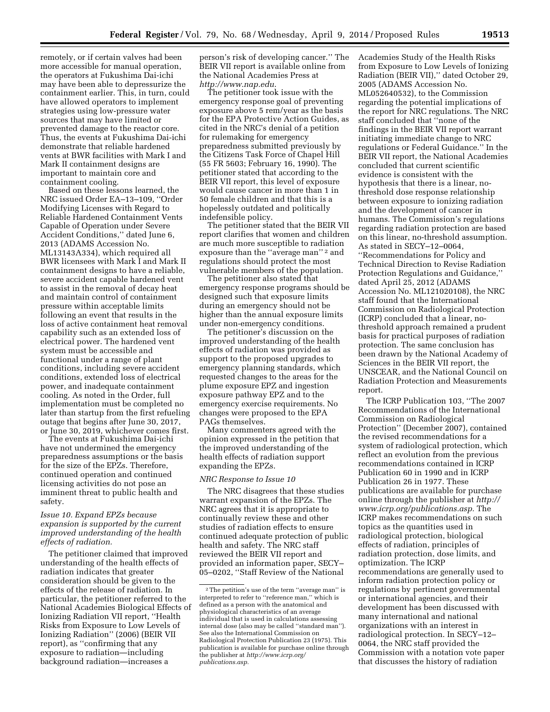remotely, or if certain valves had been more accessible for manual operation, the operators at Fukushima Dai-ichi may have been able to depressurize the containment earlier. This, in turn, could have allowed operators to implement strategies using low-pressure water sources that may have limited or prevented damage to the reactor core. Thus, the events at Fukushima Dai-ichi demonstrate that reliable hardened vents at BWR facilities with Mark I and Mark II containment designs are important to maintain core and containment cooling.

Based on these lessons learned, the NRC issued Order EA–13–109, ''Order Modifying Licenses with Regard to Reliable Hardened Containment Vents Capable of Operation under Severe Accident Conditions,'' dated June 6, 2013 (ADAMS Accession No. ML13143A334), which required all BWR licensees with Mark I and Mark II containment designs to have a reliable, severe accident capable hardened vent to assist in the removal of decay heat and maintain control of containment pressure within acceptable limits following an event that results in the loss of active containment heat removal capability such as an extended loss of electrical power. The hardened vent system must be accessible and functional under a range of plant conditions, including severe accident conditions, extended loss of electrical power, and inadequate containment cooling. As noted in the Order, full implementation must be completed no later than startup from the first refueling outage that begins after June 30, 2017, or June 30, 2019, whichever comes first.

The events at Fukushima Dai-ichi have not undermined the emergency preparedness assumptions or the basis for the size of the EPZs. Therefore, continued operation and continued licensing activities do not pose an imminent threat to public health and safety.

# *Issue 10. Expand EPZs because expansion is supported by the current improved understanding of the health effects of radiation.*

The petitioner claimed that improved understanding of the health effects of radiation indicates that greater consideration should be given to the effects of the release of radiation. In particular, the petitioner referred to the National Academies Biological Effects of Ionizing Radiation VII report, ''Health Risks from Exposure to Low Levels of Ionizing Radiation'' (2006) (BEIR VII report), as ''confirming that any exposure to radiation—including background radiation—increases a

person's risk of developing cancer.'' The BEIR VII report is available online from the National Academies Press at *<http://www.nap.edu>*.

The petitioner took issue with the emergency response goal of preventing exposure above 5 rem/year as the basis for the EPA Protective Action Guides, as cited in the NRC's denial of a petition for rulemaking for emergency preparedness submitted previously by the Citizens Task Force of Chapel Hill (55 FR 5603; February 16, 1990). The petitioner stated that according to the BEIR VII report, this level of exposure would cause cancer in more than 1 in 50 female children and that this is a hopelessly outdated and politically indefensible policy.

The petitioner stated that the BEIR VII report clarifies that women and children are much more susceptible to radiation exposure than the ''average man'' 2 and regulations should protect the most vulnerable members of the population.

The petitioner also stated that emergency response programs should be designed such that exposure limits during an emergency should not be higher than the annual exposure limits under non-emergency conditions.

The petitioner's discussion on the improved understanding of the health effects of radiation was provided as support to the proposed upgrades to emergency planning standards, which requested changes to the areas for the plume exposure EPZ and ingestion exposure pathway EPZ and to the emergency exercise requirements. No changes were proposed to the EPA PAGs themselves.

Many commenters agreed with the opinion expressed in the petition that the improved understanding of the health effects of radiation support expanding the EPZs.

## *NRC Response to Issue 10*

The NRC disagrees that these studies warrant expansion of the EPZs. The NRC agrees that it is appropriate to continually review these and other studies of radiation effects to ensure continued adequate protection of public health and safety. The NRC staff reviewed the BEIR VII report and provided an information paper, SECY– 05–0202, ''Staff Review of the National

Academies Study of the Health Risks from Exposure to Low Levels of Ionizing Radiation (BEIR VII),'' dated October 29, 2005 (ADAMS Accession No. ML052640532), to the Commission regarding the potential implications of the report for NRC regulations. The NRC staff concluded that ''none of the findings in the BEIR VII report warrant initiating immediate change to NRC regulations or Federal Guidance.'' In the BEIR VII report, the National Academies concluded that current scientific evidence is consistent with the hypothesis that there is a linear, nothreshold dose response relationship between exposure to ionizing radiation and the development of cancer in humans. The Commission's regulations regarding radiation protection are based on this linear, no-threshold assumption. As stated in SECY–12–0064, ''Recommendations for Policy and Technical Direction to Revise Radiation Protection Regulations and Guidance,'' dated April 25, 2012 (ADAMS Accession No. ML121020108), the NRC staff found that the International Commission on Radiological Protection (ICRP) concluded that a linear, nothreshold approach remained a prudent basis for practical purposes of radiation protection. The same conclusion has been drawn by the National Academy of Sciences in the BEIR VII report, the UNSCEAR, and the National Council on Radiation Protection and Measurements report.

The ICRP Publication 103, ''The 2007 Recommendations of the International Commission on Radiological Protection'' (December 2007), contained the revised recommendations for a system of radiological protection, which reflect an evolution from the previous recommendations contained in ICRP Publication 60 in 1990 and in ICRP Publication 26 in 1977. These publications are available for purchase online through the publisher at *[http://](http://www.icrp.org/publications.asp) [www.icrp.org/publications.asp.](http://www.icrp.org/publications.asp)* The ICRP makes recommendations on such topics as the quantities used in radiological protection, biological effects of radiation, principles of radiation protection, dose limits, and optimization. The ICRP recommendations are generally used to inform radiation protection policy or regulations by pertinent governmental or international agencies, and their development has been discussed with many international and national organizations with an interest in radiological protection. In SECY–12– 0064, the NRC staff provided the Commission with a notation vote paper that discusses the history of radiation

<sup>2</sup>The petition's use of the term ''average man'' is interpreted to refer to ''reference man,'' which is defined as a person with the anatomical and physiological characteristics of an average individual that is used in calculations assessing internal dose (also may be called ''standard man''). See also the International Commission on Radiological Protection Publication 23 (1975). This publication is available for purchase online through the publisher at *[http://www.icrp.org/](http://www.icrp.org/publications.asp) [publications.asp.](http://www.icrp.org/publications.asp)*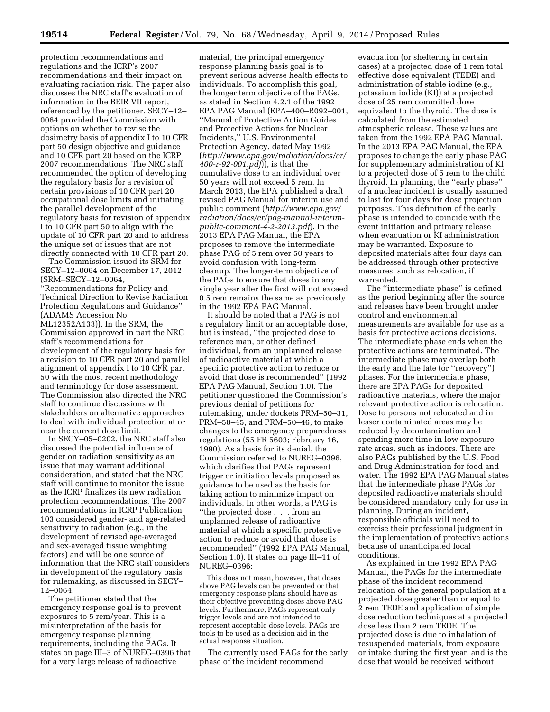protection recommendations and regulations and the ICRP's 2007 recommendations and their impact on evaluating radiation risk. The paper also discusses the NRC staff's evaluation of information in the BEIR VII report, referenced by the petitioner. SECY–12– 0064 provided the Commission with options on whether to revise the dosimetry basis of appendix I to 10 CFR part 50 design objective and guidance and 10 CFR part 20 based on the ICRP 2007 recommendations. The NRC staff recommended the option of developing the regulatory basis for a revision of certain provisions of 10 CFR part 20 occupational dose limits and initiating the parallel development of the regulatory basis for revision of appendix I to 10 CFR part 50 to align with the update of 10 CFR part 20 and to address the unique set of issues that are not directly connected with 10 CFR part 20.

The Commission issued its SRM for SECY–12–0064 on December 17, 2012 (SRM–SECY–12–0064, ''Recommendations for Policy and Technical Direction to Revise Radiation Protection Regulations and Guidance'' (ADAMS Accession No. ML12352A133)). In the SRM, the Commission approved in part the NRC staff's recommendations for development of the regulatory basis for a revision to 10 CFR part 20 and parallel alignment of appendix I to 10 CFR part 50 with the most recent methodology and terminology for dose assessment. The Commission also directed the NRC staff to continue discussions with stakeholders on alternative approaches to deal with individual protection at or near the current dose limit.

In SECY–05–0202, the NRC staff also discussed the potential influence of gender on radiation sensitivity as an issue that may warrant additional consideration, and stated that the NRC staff will continue to monitor the issue as the ICRP finalizes its new radiation protection recommendations. The 2007 recommendations in ICRP Publication 103 considered gender- and age-related sensitivity to radiation (e.g., in the development of revised age-averaged and sex-averaged tissue weighting factors) and will be one source of information that the NRC staff considers in development of the regulatory basis for rulemaking, as discussed in SECY– 12–0064.

The petitioner stated that the emergency response goal is to prevent exposures to 5 rem/year. This is a misinterpretation of the basis for emergency response planning requirements, including the PAGs. It states on page III–3 of NUREG–0396 that for a very large release of radioactive

material, the principal emergency response planning basis goal is to prevent serious adverse health effects to individuals. To accomplish this goal, the longer term objective of the PAGs, as stated in Section 4.2.1 of the 1992 EPA PAG Manual (EPA–400–R092–001, ''Manual of Protective Action Guides and Protective Actions for Nuclear Incidents,'' U.S. Environmental Protection Agency, dated May 1992 (*[http://www.epa.gov/radiation/docs/er/](http://www.epa.gov/radiation/docs/er/400-r-92-001.pdf) [400-r-92-001.pdf](http://www.epa.gov/radiation/docs/er/400-r-92-001.pdf)*)), is that the cumulative dose to an individual over 50 years will not exceed 5 rem. In March 2013, the EPA published a draft revised PAG Manual for interim use and public comment (*[http://www.epa.gov/](http://www.epa.gov/radiation/docs/er/pag-manual-interim-public-comment-4-2-2013.pdf) [radiation/docs/er/pag-manual-interim](http://www.epa.gov/radiation/docs/er/pag-manual-interim-public-comment-4-2-2013.pdf)[public-comment-4-2-2013.pdf](http://www.epa.gov/radiation/docs/er/pag-manual-interim-public-comment-4-2-2013.pdf)*). In the 2013 EPA PAG Manual, the EPA proposes to remove the intermediate phase PAG of 5 rem over 50 years to avoid confusion with long-term cleanup. The longer-term objective of the PAGs to ensure that doses in any single year after the first will not exceed 0.5 rem remains the same as previously in the 1992 EPA PAG Manual.

It should be noted that a PAG is not a regulatory limit or an acceptable dose, but is instead, ''the projected dose to reference man, or other defined individual, from an unplanned release of radioactive material at which a specific protective action to reduce or avoid that dose is recommended'' (1992 EPA PAG Manual, Section 1.0). The petitioner questioned the Commission's previous denial of petitions for rulemaking, under dockets PRM–50–31, PRM–50–45, and PRM–50–46, to make changes to the emergency preparedness regulations (55 FR 5603; February 16, 1990). As a basis for its denial, the Commission referred to NUREG–0396, which clarifies that PAGs represent trigger or initiation levels proposed as guidance to be used as the basis for taking action to minimize impact on individuals. In other words, a PAG is ''the projected dose . . . from an unplanned release of radioactive material at which a specific protective action to reduce or avoid that dose is recommended'' (1992 EPA PAG Manual, Section 1.0). It states on page III–11 of NUREG–0396:

This does not mean, however, that doses above PAG levels can be prevented or that emergency response plans should have as their objective preventing doses above PAG levels. Furthermore, PAGs represent only trigger levels and are not intended to represent acceptable dose levels. PAGs are tools to be used as a decision aid in the actual response situation.

The currently used PAGs for the early phase of the incident recommend

evacuation (or sheltering in certain cases) at a projected dose of 1 rem total effective dose equivalent (TEDE) and administration of stable iodine (e.g., potassium iodide (KI)) at a projected dose of 25 rem committed dose equivalent to the thyroid. The dose is calculated from the estimated atmospheric release. These values are taken from the 1992 EPA PAG Manual. In the 2013 EPA PAG Manual, the EPA proposes to change the early phase PAG for supplementary administration of KI to a projected dose of 5 rem to the child thyroid. In planning, the ''early phase'' of a nuclear incident is usually assumed to last for four days for dose projection purposes. This definition of the early phase is intended to coincide with the event initiation and primary release when evacuation or KI administration may be warranted. Exposure to deposited materials after four days can be addressed through other protective measures, such as relocation, if warranted.

The ''intermediate phase'' is defined as the period beginning after the source and releases have been brought under control and environmental measurements are available for use as a basis for protective actions decisions. The intermediate phase ends when the protective actions are terminated. The intermediate phase may overlap both the early and the late (or ''recovery'') phases. For the intermediate phase, there are EPA PAGs for deposited radioactive materials, where the major relevant protective action is relocation. Dose to persons not relocated and in lesser contaminated areas may be reduced by decontamination and spending more time in low exposure rate areas, such as indoors. There are also PAGs published by the U.S. Food and Drug Administration for food and water. The 1992 EPA PAG Manual states that the intermediate phase PAGs for deposited radioactive materials should be considered mandatory only for use in planning. During an incident, responsible officials will need to exercise their professional judgment in the implementation of protective actions because of unanticipated local conditions.

As explained in the 1992 EPA PAG Manual, the PAGs for the intermediate phase of the incident recommend relocation of the general population at a projected dose greater than or equal to 2 rem TEDE and application of simple dose reduction techniques at a projected dose less than 2 rem TEDE. The projected dose is due to inhalation of resuspended materials, from exposure or intake during the first year, and is the dose that would be received without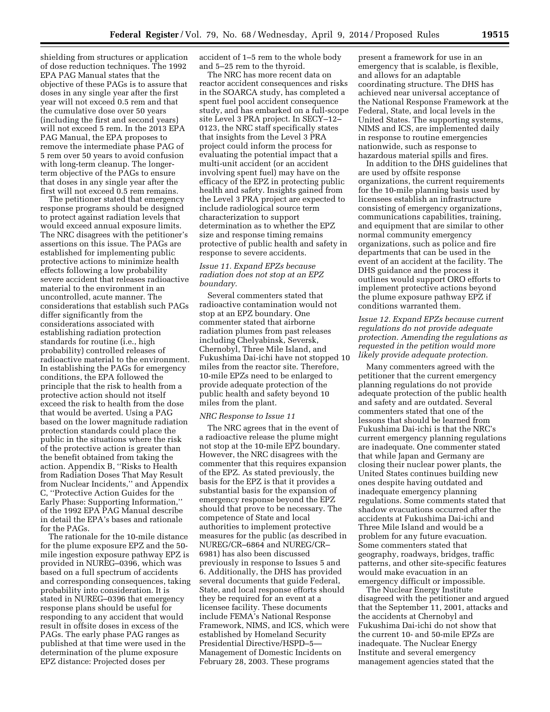shielding from structures or application of dose reduction techniques. The 1992 EPA PAG Manual states that the objective of these PAGs is to assure that doses in any single year after the first year will not exceed 0.5 rem and that the cumulative dose over 50 years (including the first and second years) will not exceed 5 rem. In the 2013 EPA PAG Manual, the EPA proposes to remove the intermediate phase PAG of 5 rem over 50 years to avoid confusion with long-term cleanup. The longerterm objective of the PAGs to ensure that doses in any single year after the first will not exceed 0.5 rem remains.

The petitioner stated that emergency response programs should be designed to protect against radiation levels that would exceed annual exposure limits. The NRC disagrees with the petitioner's assertions on this issue. The PAGs are established for implementing public protective actions to minimize health effects following a low probability severe accident that releases radioactive material to the environment in an uncontrolled, acute manner. The considerations that establish such PAGs differ significantly from the considerations associated with establishing radiation protection standards for routine (i.e., high probability) controlled releases of radioactive material to the environment. In establishing the PAGs for emergency conditions, the EPA followed the principle that the risk to health from a protective action should not itself exceed the risk to health from the dose that would be averted. Using a PAG based on the lower magnitude radiation protection standards could place the public in the situations where the risk of the protective action is greater than the benefit obtained from taking the action. Appendix B, ''Risks to Health from Radiation Doses That May Result from Nuclear Incidents,'' and Appendix C, ''Protective Action Guides for the Early Phase: Supporting Information,'' of the 1992 EPA PAG Manual describe in detail the EPA's bases and rationale for the PAGs.

The rationale for the 10-mile distance for the plume exposure EPZ and the 50 mile ingestion exposure pathway EPZ is provided in NUREG–0396, which was based on a full spectrum of accidents and corresponding consequences, taking probability into consideration. It is stated in NUREG–0396 that emergency response plans should be useful for responding to any accident that would result in offsite doses in excess of the PAGs. The early phase PAG ranges as published at that time were used in the determination of the plume exposure EPZ distance: Projected doses per

accident of 1–5 rem to the whole body and 5–25 rem to the thyroid.

The NRC has more recent data on reactor accident consequences and risks in the SOARCA study, has completed a spent fuel pool accident consequence study, and has embarked on a full-scope site Level 3 PRA project. In SECY–12– 0123, the NRC staff specifically states that insights from the Level 3 PRA project could inform the process for evaluating the potential impact that a multi-unit accident (or an accident involving spent fuel) may have on the efficacy of the EPZ in protecting public health and safety. Insights gained from the Level 3 PRA project are expected to include radiological source term characterization to support determination as to whether the EPZ size and response timing remains protective of public health and safety in response to severe accidents.

## *Issue 11. Expand EPZs because radiation does not stop at an EPZ boundary.*

Several commenters stated that radioactive contamination would not stop at an EPZ boundary. One commenter stated that airborne radiation plumes from past releases including Chelyabinsk, Seversk, Chernobyl, Three Mile Island, and Fukushima Dai-ichi have not stopped 10 miles from the reactor site. Therefore, 10-mile EPZs need to be enlarged to provide adequate protection of the public health and safety beyond 10 miles from the plant.

#### *NRC Response to Issue 11*

The NRC agrees that in the event of a radioactive release the plume might not stop at the 10-mile EPZ boundary. However, the NRC disagrees with the commenter that this requires expansion of the EPZ. As stated previously, the basis for the EPZ is that it provides a substantial basis for the expansion of emergency response beyond the EPZ should that prove to be necessary. The competence of State and local authorities to implement protective measures for the public (as described in NUREG/CR–6864 and NUREG/CR– 6981) has also been discussed previously in response to Issues 5 and 6. Additionally, the DHS has provided several documents that guide Federal, State, and local response efforts should they be required for an event at a licensee facility. These documents include FEMA's National Response Framework, NIMS, and ICS, which were established by Homeland Security Presidential Directive/HSPD–5— Management of Domestic Incidents on February 28, 2003. These programs

present a framework for use in an emergency that is scalable, is flexible, and allows for an adaptable coordinating structure. The DHS has achieved near universal acceptance of the National Response Framework at the Federal, State, and local levels in the United States. The supporting systems, NIMS and ICS, are implemented daily in response to routine emergencies nationwide, such as response to hazardous material spills and fires.

In addition to the DHS guidelines that are used by offsite response organizations, the current requirements for the 10-mile planning basis used by licensees establish an infrastructure consisting of emergency organizations, communications capabilities, training, and equipment that are similar to other normal community emergency organizations, such as police and fire departments that can be used in the event of an accident at the facility. The DHS guidance and the process it outlines would support ORO efforts to implement protective actions beyond the plume exposure pathway EPZ if conditions warranted them.

# *Issue 12. Expand EPZs because current regulations do not provide adequate protection. Amending the regulations as requested in the petition would more likely provide adequate protection.*

Many commenters agreed with the petitioner that the current emergency planning regulations do not provide adequate protection of the public health and safety and are outdated. Several commenters stated that one of the lessons that should be learned from Fukushima Dai-ichi is that the NRC's current emergency planning regulations are inadequate. One commenter stated that while Japan and Germany are closing their nuclear power plants, the United States continues building new ones despite having outdated and inadequate emergency planning regulations. Some comments stated that shadow evacuations occurred after the accidents at Fukushima Dai-ichi and Three Mile Island and would be a problem for any future evacuation. Some commenters stated that geography, roadways, bridges, traffic patterns, and other site-specific features would make evacuation in an emergency difficult or impossible.

The Nuclear Energy Institute disagreed with the petitioner and argued that the September 11, 2001, attacks and the accidents at Chernobyl and Fukushima Dai-ichi do not show that the current 10- and 50-mile EPZs are inadequate. The Nuclear Energy Institute and several emergency management agencies stated that the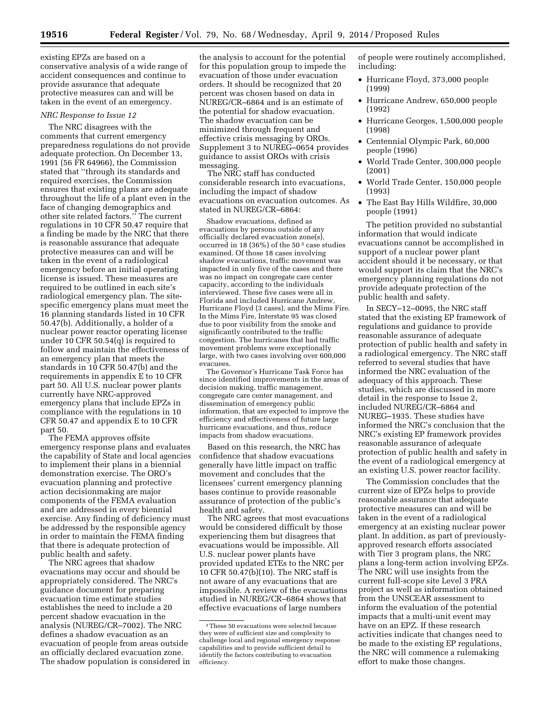existing EPZs are based on a conservative analysis of a wide range of accident consequences and continue to provide assurance that adequate protective measures can and will be taken in the event of an emergency.

## *NRC Response to Issue 12*

The NRC disagrees with the comments that current emergency preparedness regulations do not provide adequate protection. On December 13, 1991 (56 FR 64966), the Commission stated that ''through its standards and required exercises, the Commission ensures that existing plans are adequate throughout the life of a plant even in the face of changing demographics and other site related factors.'' The current regulations in 10 CFR 50.47 require that a finding be made by the NRC that there is reasonable assurance that adequate protective measures can and will be taken in the event of a radiological emergency before an initial operating license is issued. These measures are required to be outlined in each site's radiological emergency plan. The sitespecific emergency plans must meet the 16 planning standards listed in 10 CFR 50.47(b). Additionally, a holder of a nuclear power reactor operating license under 10 CFR 50.54(q) is required to follow and maintain the effectiveness of an emergency plan that meets the standards in 10 CFR 50.47(b) and the requirements in appendix E to 10 CFR part 50. All U.S. nuclear power plants currently have NRC-approved emergency plans that include EPZs in compliance with the regulations in 10 CFR 50.47 and appendix E to 10 CFR part 50.

The FEMA approves offsite emergency response plans and evaluates the capability of State and local agencies to implement their plans in a biennial demonstration exercise. The ORO's evacuation planning and protective action decisionmaking are major components of the FEMA evaluation and are addressed in every biennial exercise. Any finding of deficiency must be addressed by the responsible agency in order to maintain the FEMA finding that there is adequate protection of public health and safety.

The NRC agrees that shadow evacuations may occur and should be appropriately considered. The NRC's guidance document for preparing evacuation time estimate studies establishes the need to include a 20 percent shadow evacuation in the analysis (NUREG/CR–7002). The NRC defines a shadow evacuation as an evacuation of people from areas outside an officially declared evacuation zone. The shadow population is considered in the analysis to account for the potential for this population group to impede the evacuation of those under evacuation orders. It should be recognized that 20 percent was chosen based on data in NUREG/CR–6864 and is an estimate of the potential for shadow evacuation. The shadow evacuation can be minimized through frequent and effective crisis messaging by OROs. Supplement 3 to NUREG–0654 provides guidance to assist OROs with crisis messaging.

The NRC staff has conducted considerable research into evacuations, including the impact of shadow evacuations on evacuation outcomes. As stated in NUREG/CR–6864:

Shadow evacuations, defined as evacuations by persons outside of any officially declared evacuation zone(s), occurred in 18 (36%) of the 50 3 case studies examined. Of those 18 cases involving shadow evacuations, traffic movement was impacted in only five of the cases and there was no impact on congregate care center capacity, according to the individuals interviewed. These five cases were all in Florida and included Hurricane Andrew, Hurricane Floyd (3 cases), and the Mims Fire. In the Mims Fire, Interstate 95 was closed due to poor visibility from the smoke and significantly contributed to the traffic congestion. The hurricanes that had traffic movement problems were exceptionally large, with two cases involving over 600,000 evacuees.

The Governor's Hurricane Task Force has since identified improvements in the areas of decision making, traffic management, congregate care center management, and dissemination of emergency public information, that are expected to improve the efficiency and effectiveness of future large hurricane evacuations, and thus, reduce impacts from shadow evacuations.

Based on this research, the NRC has confidence that shadow evacuations generally have little impact on traffic movement and concludes that the licensees' current emergency planning bases continue to provide reasonable assurance of protection of the public's health and safety.

The NRC agrees that most evacuations would be considered difficult by those experiencing them but disagrees that evacuations would be impossible. All U.S. nuclear power plants have provided updated ETEs to the NRC per 10 CFR 50.47(b)(10). The NRC staff is not aware of any evacuations that are impossible. A review of the evacuations studied in NUREG/CR–6864 shows that effective evacuations of large numbers

of people were routinely accomplished, including:

- Hurricane Floyd, 373,000 people (1999)
- Hurricane Andrew, 650,000 people (1992)
- Hurricane Georges, 1,500,000 people (1998)
- Centennial Olympic Park, 60,000 people (1996)
- World Trade Center, 300,000 people (2001)
- World Trade Center, 150,000 people (1993)
- The East Bay Hills Wildfire, 30,000 people (1991)

The petition provided no substantial information that would indicate evacuations cannot be accomplished in support of a nuclear power plant accident should it be necessary, or that would support its claim that the NRC's emergency planning regulations do not provide adequate protection of the public health and safety.

In SECY–12–0095, the NRC staff stated that the existing EP framework of regulations and guidance to provide reasonable assurance of adequate protection of public health and safety in a radiological emergency. The NRC staff referred to several studies that have informed the NRC evaluation of the adequacy of this approach. These studies, which are discussed in more detail in the response to Issue 2, included NUREG/CR–6864 and NUREG–1935. These studies have informed the NRC's conclusion that the NRC's existing EP framework provides reasonable assurance of adequate protection of public health and safety in the event of a radiological emergency at an existing U.S. power reactor facility.

The Commission concludes that the current size of EPZs helps to provide reasonable assurance that adequate protective measures can and will be taken in the event of a radiological emergency at an existing nuclear power plant. In addition, as part of previouslyapproved research efforts associated with Tier 3 program plans, the NRC plans a long-term action involving EPZs. The NRC will use insights from the current full-scope site Level 3 PRA project as well as information obtained from the UNSCEAR assessment to inform the evaluation of the potential impacts that a multi-unit event may have on an EPZ. If these research activities indicate that changes need to be made to the existing EP regulations, the NRC will commence a rulemaking effort to make those changes.

<sup>3</sup>These 50 evacuations were selected because they were of sufficient size and complexity to challenge local and regional emergency response capabilities and to provide sufficient detail to identify the factors contributing to evacuation efficiency.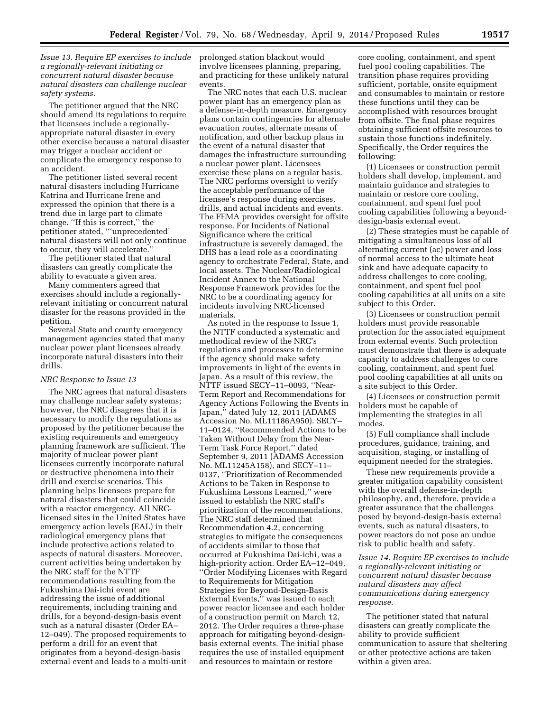*Issue 13. Require EP exercises to include a regionally-relevant initiating or concurrent natural disaster because natural disasters can challenge nuclear safety systems.* 

The petitioner argued that the NRC should amend its regulations to require that licensees include a regionallyappropriate natural disaster in every other exercise because a natural disaster may trigger a nuclear accident or complicate the emergency response to an accident.

The petitioner listed several recent natural disasters including Hurricane Katrina and Hurricane Irene and expressed the opinion that there is a trend due in large part to climate change. ''If this is correct,'' the petitioner stated, '''unprecedented' natural disasters will not only continue to occur, they will accelerate.''

The petitioner stated that natural disasters can greatly complicate the ability to evacuate a given area.

Many commenters agreed that exercises should include a regionallyrelevant initiating or concurrent natural disaster for the reasons provided in the petition.

Several State and county emergency management agencies stated that many nuclear power plant licensees already incorporate natural disasters into their drills.

## *NRC Response to Issue 13*

The NRC agrees that natural disasters may challenge nuclear safety systems; however, the NRC disagrees that it is necessary to modify the regulations as proposed by the petitioner because the existing requirements and emergency planning framework are sufficient. The majority of nuclear power plant licensees currently incorporate natural or destructive phenomena into their drill and exercise scenarios. This planning helps licensees prepare for natural disasters that could coincide with a reactor emergency. All NRClicensed sites in the United States have emergency action levels (EAL) in their radiological emergency plans that include protective actions related to aspects of natural disasters. Moreover, current activities being undertaken by the NRC staff for the NTTF recommendations resulting from the Fukushima Dai-ichi event are addressing the issue of additional requirements, including training and drills, for a beyond-design-basis event such as a natural disaster (Order EA– 12–049). The proposed requirements to perform a drill for an event that originates from a beyond-design-basis external event and leads to a multi-unit

prolonged station blackout would involve licensees planning, preparing, and practicing for these unlikely natural events.

The NRC notes that each U.S. nuclear power plant has an emergency plan as a defense-in-depth measure. Emergency plans contain contingencies for alternate evacuation routes, alternate means of notification, and other backup plans in the event of a natural disaster that damages the infrastructure surrounding a nuclear power plant. Licensees exercise these plans on a regular basis. The NRC performs oversight to verify the acceptable performance of the licensee's response during exercises, drills, and actual incidents and events. The FEMA provides oversight for offsite response. For Incidents of National Significance where the critical infrastructure is severely damaged, the DHS has a lead role as a coordinating agency to orchestrate Federal, State, and local assets. The Nuclear/Radiological Incident Annex to the National Response Framework provides for the NRC to be a coordinating agency for incidents involving NRC-licensed materials.

As noted in the response to Issue 1, the NTTF conducted a systematic and methodical review of the NRC's regulations and processes to determine if the agency should make safety improvements in light of the events in Japan. As a result of this review, the NTTF issued SECY–11–0093, ''Near-Term Report and Recommendations for Agency Actions Following the Events in Japan,'' dated July 12, 2011 (ADAMS Accession No. ML11186A950). SECY– 11–0124, ''Recommended Actions to be Taken Without Delay from the Near-Term Task Force Report,'' dated September 9, 2011 (ADAMS Accession No. ML11245A158), and SECY–11– 0137, ''Prioritization of Recommended Actions to be Taken in Response to Fukushima Lessons Learned,'' were issued to establish the NRC staff's prioritization of the recommendations. The NRC staff determined that Recommendation 4.2, concerning strategies to mitigate the consequences of accidents similar to those that occurred at Fukushima Dai-ichi, was a high-priority action. Order EA–12–049, ''Order Modifying Licenses with Regard to Requirements for Mitigation Strategies for Beyond-Design-Basis External Events,'' was issued to each power reactor licensee and each holder of a construction permit on March 12, 2012. The Order requires a three-phase approach for mitigating beyond-designbasis external events. The initial phase requires the use of installed equipment and resources to maintain or restore

core cooling, containment, and spent fuel pool cooling capabilities. The transition phase requires providing sufficient, portable, onsite equipment and consumables to maintain or restore these functions until they can be accomplished with resources brought from offsite. The final phase requires obtaining sufficient offsite resources to sustain those functions indefinitely. Specifically, the Order requires the following:

(1) Licensees or construction permit holders shall develop, implement, and maintain guidance and strategies to maintain or restore core cooling, containment, and spent fuel pool cooling capabilities following a beyonddesign-basis external event.

(2) These strategies must be capable of mitigating a simultaneous loss of all alternating current (ac) power and loss of normal access to the ultimate heat sink and have adequate capacity to address challenges to core cooling, containment, and spent fuel pool cooling capabilities at all units on a site subject to this Order.

(3) Licensees or construction permit holders must provide reasonable protection for the associated equipment from external events. Such protection must demonstrate that there is adequate capacity to address challenges to core cooling, containment, and spent fuel pool cooling capabilities at all units on a site subject to this Order.

(4) Licensees or construction permit holders must be capable of implementing the strategies in all modes.

(5) Full compliance shall include procedures, guidance, training, and acquisition, staging, or installing of equipment needed for the strategies.

These new requirements provide a greater mitigation capability consistent with the overall defense-in-depth philosophy, and, therefore, provide a greater assurance that the challenges posed by beyond-design-basis external events, such as natural disasters, to power reactors do not pose an undue risk to public health and safety.

*Issue 14. Require EP exercises to include a regionally-relevant initiating or concurrent natural disaster because natural disasters may affect communications during emergency response.* 

The petitioner stated that natural disasters can greatly complicate the ability to provide sufficient communication to assure that sheltering or other protective actions are taken within a given area.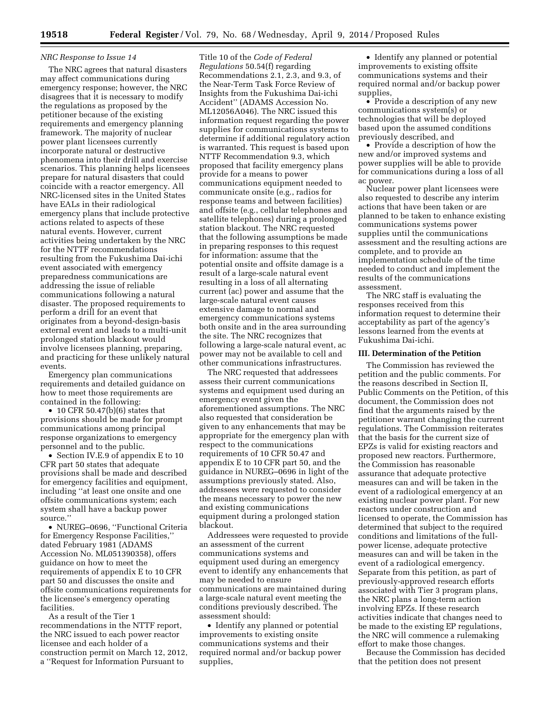# *NRC Response to Issue 14*

The NRC agrees that natural disasters may affect communications during emergency response; however, the NRC disagrees that it is necessary to modify the regulations as proposed by the petitioner because of the existing requirements and emergency planning framework. The majority of nuclear power plant licensees currently incorporate natural or destructive phenomena into their drill and exercise scenarios. This planning helps licensees prepare for natural disasters that could coincide with a reactor emergency. All NRC-licensed sites in the United States have EALs in their radiological emergency plans that include protective actions related to aspects of these natural events. However, current activities being undertaken by the NRC for the NTTF recommendations resulting from the Fukushima Dai-ichi event associated with emergency preparedness communications are addressing the issue of reliable communications following a natural disaster. The proposed requirements to perform a drill for an event that originates from a beyond-design-basis external event and leads to a multi-unit prolonged station blackout would involve licensees planning, preparing, and practicing for these unlikely natural events.

Emergency plan communications requirements and detailed guidance on how to meet those requirements are contained in the following:

• 10 CFR 50.47 $(b)(6)$  states that provisions should be made for prompt communications among principal response organizations to emergency personnel and to the public.

• Section IV.E.9 of appendix E to 10 CFR part 50 states that adequate provisions shall be made and described for emergency facilities and equipment, including ''at least one onsite and one offsite communications system; each system shall have a backup power source.''

• NUREG–0696, ''Functional Criteria for Emergency Response Facilities,'' dated February 1981 (ADAMS Accession No. ML051390358), offers guidance on how to meet the requirements of appendix E to 10 CFR part 50 and discusses the onsite and offsite communications requirements for the licensee's emergency operating facilities.

As a result of the Tier 1 recommendations in the NTTF report, the NRC issued to each power reactor licensee and each holder of a construction permit on March 12, 2012, a ''Request for Information Pursuant to

Title 10 of the *Code of Federal Regulations* 50.54(f) regarding Recommendations 2.1, 2.3, and 9.3, of the Near-Term Task Force Review of Insights from the Fukushima Dai-ichi Accident'' (ADAMS Accession No. ML12056A046). The NRC issued this information request regarding the power supplies for communications systems to determine if additional regulatory action is warranted. This request is based upon NTTF Recommendation 9.3, which proposed that facility emergency plans provide for a means to power communications equipment needed to communicate onsite (e.g., radios for response teams and between facilities) and offsite (e.g., cellular telephones and satellite telephones) during a prolonged station blackout. The NRC requested that the following assumptions be made in preparing responses to this request for information: assume that the potential onsite and offsite damage is a result of a large-scale natural event resulting in a loss of all alternating current (ac) power and assume that the large-scale natural event causes extensive damage to normal and emergency communications systems both onsite and in the area surrounding the site. The NRC recognizes that following a large-scale natural event, ac power may not be available to cell and other communications infrastructures.

The NRC requested that addressees assess their current communications systems and equipment used during an emergency event given the aforementioned assumptions. The NRC also requested that consideration be given to any enhancements that may be appropriate for the emergency plan with respect to the communications requirements of 10 CFR 50.47 and appendix E to 10 CFR part 50, and the guidance in NUREG–0696 in light of the assumptions previously stated. Also, addressees were requested to consider the means necessary to power the new and existing communications equipment during a prolonged station blackout.

Addressees were requested to provide an assessment of the current communications systems and equipment used during an emergency event to identify any enhancements that may be needed to ensure communications are maintained during a large-scale natural event meeting the conditions previously described. The assessment should:

• Identify any planned or potential improvements to existing onsite communications systems and their required normal and/or backup power supplies,

• Identify any planned or potential improvements to existing offsite communications systems and their required normal and/or backup power supplies,

• Provide a description of any new communications system(s) or technologies that will be deployed based upon the assumed conditions previously described, and

• Provide a description of how the new and/or improved systems and power supplies will be able to provide for communications during a loss of all ac power.

Nuclear power plant licensees were also requested to describe any interim actions that have been taken or are planned to be taken to enhance existing communications systems power supplies until the communications assessment and the resulting actions are complete, and to provide an implementation schedule of the time needed to conduct and implement the results of the communications assessment.

The NRC staff is evaluating the responses received from this information request to determine their acceptability as part of the agency's lessons learned from the events at Fukushima Dai-ichi.

# **III. Determination of the Petition**

The Commission has reviewed the petition and the public comments. For the reasons described in Section II, Public Comments on the Petition, of this document, the Commission does not find that the arguments raised by the petitioner warrant changing the current regulations. The Commission reiterates that the basis for the current size of EPZs is valid for existing reactors and proposed new reactors. Furthermore, the Commission has reasonable assurance that adequate protective measures can and will be taken in the event of a radiological emergency at an existing nuclear power plant. For new reactors under construction and licensed to operate, the Commission has determined that subject to the required conditions and limitations of the fullpower license, adequate protective measures can and will be taken in the event of a radiological emergency. Separate from this petition, as part of previously-approved research efforts associated with Tier 3 program plans, the NRC plans a long-term action involving EPZs. If these research activities indicate that changes need to be made to the existing EP regulations, the NRC will commence a rulemaking effort to make those changes.

Because the Commission has decided that the petition does not present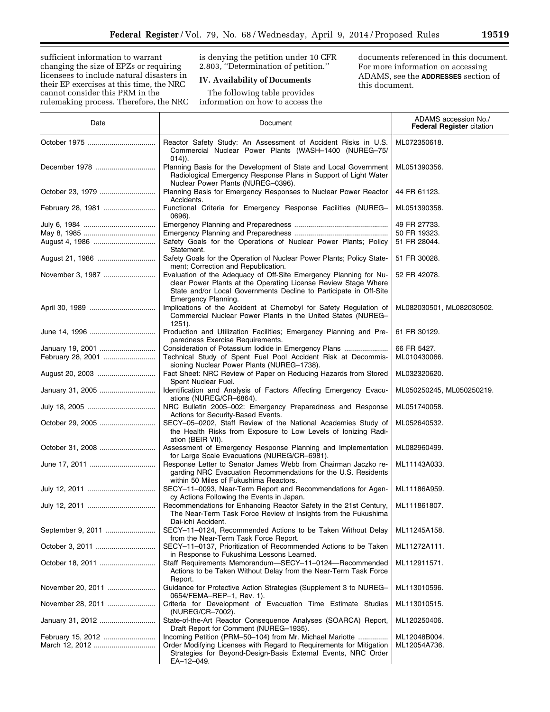sufficient information to warrant changing the size of EPZs or requiring licensees to include natural disasters in their EP exercises at this time, the NRC cannot consider this PRM in the rulemaking process. Therefore, the NRC is denying the petition under 10 CFR 2.803, ''Determination of petition.''

# **IV. Availability of Documents**

The following table provides information on how to access the

documents referenced in this document. For more information on accessing ADAMS, see the **ADDRESSES** section of this document.

| Date              | Document                                                                                                                                                                                                                        | ADAMS accession No./<br><b>Federal Register citation</b> |
|-------------------|---------------------------------------------------------------------------------------------------------------------------------------------------------------------------------------------------------------------------------|----------------------------------------------------------|
|                   | Reactor Safety Study: An Assessment of Accident Risks in U.S.<br>Commercial Nuclear Power Plants (WASH-1400 (NUREG-75/<br>$(014)$ ).                                                                                            | ML072350618.                                             |
| December 1978     | Planning Basis for the Development of State and Local Government<br>Radiological Emergency Response Plans in Support of Light Water<br>Nuclear Power Plants (NUREG-0396).                                                       | ML051390356.                                             |
| October 23, 1979  | Planning Basis for Emergency Responses to Nuclear Power Reactor<br>Accidents.                                                                                                                                                   | 44 FR 61123.                                             |
| February 28, 1981 | Functional Criteria for Emergency Response Facilities (NUREG-<br>0696).                                                                                                                                                         | ML051390358.                                             |
|                   |                                                                                                                                                                                                                                 | 49 FR 27733.                                             |
|                   |                                                                                                                                                                                                                                 | 50 FR 19323.                                             |
|                   | Safety Goals for the Operations of Nuclear Power Plants; Policy<br>Statement.                                                                                                                                                   | 51 FR 28044.                                             |
| August 21, 1986   | Safety Goals for the Operation of Nuclear Power Plants; Policy State-<br>ment; Correction and Republication.                                                                                                                    | 51 FR 30028.                                             |
| November 3, 1987  | Evaluation of the Adequacy of Off-Site Emergency Planning for Nu-<br>clear Power Plants at the Operating License Review Stage Where<br>State and/or Local Governments Decline to Participate in Off-Site<br>Emergency Planning. | 52 FR 42078.                                             |
|                   | Implications of the Accident at Chernobyl for Safety Regulation of<br>Commercial Nuclear Power Plants in the United States (NUREG-<br>$1251$ ).                                                                                 | ML082030501, ML082030502.                                |
|                   | Production and Utilization Facilities; Emergency Planning and Pre-                                                                                                                                                              | 61 FR 30129.                                             |
| January 19, 2001  | paredness Exercise Requirements.<br>Consideration of Potassium lodide in Emergency Plans                                                                                                                                        | 66 FR 5427.                                              |
| February 28, 2001 | Technical Study of Spent Fuel Pool Accident Risk at Decommis-                                                                                                                                                                   | ML010430066.                                             |
|                   | sioning Nuclear Power Plants (NUREG-1738).                                                                                                                                                                                      |                                                          |
| August 20, 2003   | Fact Sheet: NRC Review of Paper on Reducing Hazards from Stored<br>Spent Nuclear Fuel.                                                                                                                                          | ML032320620.                                             |
| January 31, 2005  | Identification and Analysis of Factors Affecting Emergency Evacu-<br>ations (NUREG/CR-6864).                                                                                                                                    | ML050250245, ML050250219.                                |
|                   | NRC Bulletin 2005-002: Emergency Preparedness and Response<br>Actions for Security-Based Events.                                                                                                                                | ML051740058.                                             |
| October 29, 2005  | SECY-05-0202, Staff Review of the National Academies Study of<br>the Health Risks from Exposure to Low Levels of Ionizing Radi-                                                                                                 | ML052640532.                                             |
|                   | ation (BEIR VII).                                                                                                                                                                                                               |                                                          |
| October 31, 2008  | Assessment of Emergency Response Planning and Implementation<br>for Large Scale Evacuations (NUREG/CR-6981).                                                                                                                    | ML082960499.                                             |
|                   | Response Letter to Senator James Webb from Chairman Jaczko re-<br>garding NRC Evacuation Recommendations for the U.S. Residents<br>within 50 Miles of Fukushima Reactors.                                                       | ML11143A033.                                             |
|                   | SECY-11-0093, Near-Term Report and Recommendations for Agen-<br>cy Actions Following the Events in Japan.                                                                                                                       | ML11186A959.                                             |
|                   | Recommendations for Enhancing Reactor Safety in the 21st Century,<br>The Near-Term Task Force Review of Insights from the Fukushima<br>Dai-ichi Accident.                                                                       | ML111861807.                                             |
| September 9, 2011 | SECY-11-0124, Recommended Actions to be Taken Without Delay<br>from the Near-Term Task Force Report.                                                                                                                            | ML11245A158.                                             |
| October 3, 2011   | SECY-11-0137, Prioritization of Recommended Actions to be Taken<br>in Response to Fukushima Lessons Learned.                                                                                                                    | ML11272A111.                                             |
| October 18, 2011  | Staff Requirements Memorandum-SECY-11-0124-Recommended<br>Actions to be Taken Without Delay from the Near-Term Task Force                                                                                                       | ML112911571.                                             |
| November 20, 2011 | Report.<br>Guidance for Protective Action Strategies (Supplement 3 to NUREG-<br>0654/FEMA-REP-1, Rev. 1).                                                                                                                       | ML113010596.                                             |
| November 28, 2011 | Criteria for Development of Evacuation Time Estimate Studies<br>(NUREG/CR-7002).                                                                                                                                                | ML113010515.                                             |
| January 31, 2012  | State-of-the-Art Reactor Consequence Analyses (SOARCA) Report,<br>Draft Report for Comment (NUREG-1935).                                                                                                                        | ML120250406.                                             |
| February 15, 2012 | Incoming Petition (PRM-50-104) from Mr. Michael Mariotte                                                                                                                                                                        | ML12048B004.                                             |
|                   | Order Modifying Licenses with Regard to Requirements for Mitigation<br>Strategies for Beyond-Design-Basis External Events, NRC Order<br>EA-12-049.                                                                              | ML12054A736.                                             |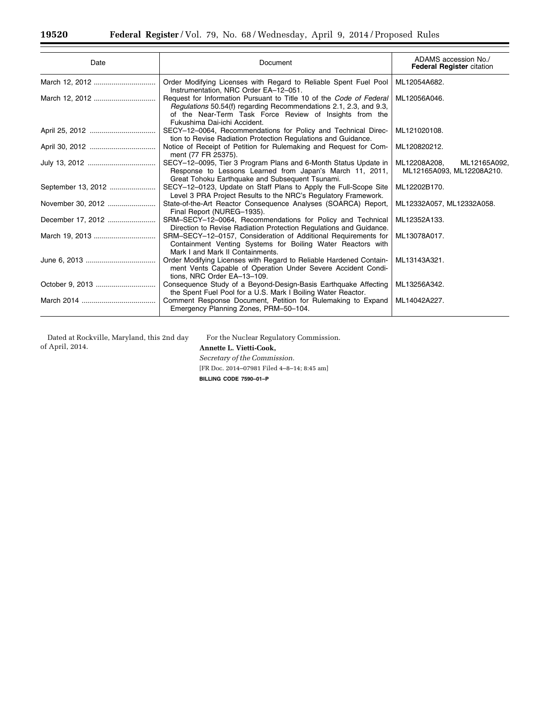| Date               | Document                                                                                                                                                                                                                            | ADAMS accession No./<br><b>Federal Register citation</b>  |
|--------------------|-------------------------------------------------------------------------------------------------------------------------------------------------------------------------------------------------------------------------------------|-----------------------------------------------------------|
|                    | Order Modifying Licenses with Regard to Reliable Spent Fuel Pool<br>Instrumentation, NRC Order EA-12-051.                                                                                                                           | ML12054A682.                                              |
|                    | Request for Information Pursuant to Title 10 of the Code of Federal<br>Regulations 50.54(f) regarding Recommendations 2.1, 2.3, and 9.3,<br>of the Near-Term Task Force Review of Insights from the<br>Fukushima Dai-ichi Accident. | ML12056A046.                                              |
|                    | SECY-12-0064, Recommendations for Policy and Technical Direc-<br>tion to Revise Radiation Protection Regulations and Guidance.                                                                                                      | ML121020108.                                              |
|                    | Notice of Receipt of Petition for Rulemaking and Request for Com-<br>ment (77 FR 25375).                                                                                                                                            | ML120820212.                                              |
|                    | SECY-12-0095, Tier 3 Program Plans and 6-Month Status Update in<br>Response to Lessons Learned from Japan's March 11, 2011,<br>Great Tohoku Earthquake and Subsequent Tsunami.                                                      | ML12208A208,<br>ML12165A092,<br>ML12165A093, ML12208A210. |
| September 13, 2012 | SECY-12-0123, Update on Staff Plans to Apply the Full-Scope Site<br>Level 3 PRA Project Results to the NRC's Regulatory Framework.                                                                                                  | ML12202B170.                                              |
| November 30, 2012  | State-of-the-Art Reactor Consequence Analyses (SOARCA) Report,<br>Final Report (NUREG-1935).                                                                                                                                        | ML12332A057, ML12332A058.                                 |
| December 17, 2012  | SRM-SECY-12-0064, Recommendations for Policy and Technical<br>Direction to Revise Radiation Protection Regulations and Guidance.                                                                                                    | ML12352A133.                                              |
|                    | SRM-SECY-12-0157, Consideration of Additional Requirements for<br>Containment Venting Systems for Boiling Water Reactors with<br>Mark I and Mark II Containments.                                                                   | ML13078A017.                                              |
|                    | Order Modifying Licenses with Regard to Reliable Hardened Contain-<br>ment Vents Capable of Operation Under Severe Accident Condi-<br>tions, NRC Order EA-13-109.                                                                   | ML13143A321.                                              |
| October 9, 2013    | Consequence Study of a Beyond-Design-Basis Earthquake Affecting<br>the Spent Fuel Pool for a U.S. Mark I Boiling Water Reactor.                                                                                                     | ML13256A342.                                              |
|                    | Comment Response Document, Petition for Rulemaking to Expand<br>Emergency Planning Zones, PRM-50-104.                                                                                                                               | ML14042A227.                                              |

Dated at Rockville, Maryland, this 2nd day of April, 2014.

For the Nuclear Regulatory Commission.

**Annette L. Vietti-Cook,**  *Secretary of the Commission.*  [FR Doc. 2014–07981 Filed 4–8–14; 8:45 am] **BILLING CODE 7590–01–P**